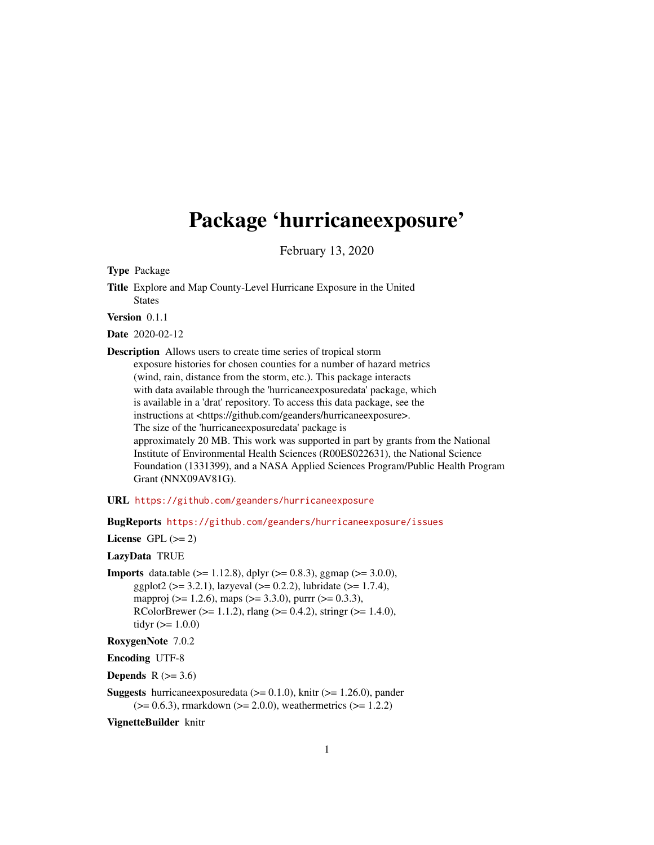## Package 'hurricaneexposure'

February 13, 2020

Type Package

Title Explore and Map County-Level Hurricane Exposure in the United States

Version 0.1.1

Date 2020-02-12

Description Allows users to create time series of tropical storm exposure histories for chosen counties for a number of hazard metrics (wind, rain, distance from the storm, etc.). This package interacts with data available through the 'hurricaneexposuredata' package, which is available in a 'drat' repository. To access this data package, see the instructions at <https://github.com/geanders/hurricaneexposure>. The size of the 'hurricaneexposuredata' package is approximately 20 MB. This work was supported in part by grants from the National Institute of Environmental Health Sciences (R00ES022631), the National Science Foundation (1331399), and a NASA Applied Sciences Program/Public Health Program Grant (NNX09AV81G).

URL <https://github.com/geanders/hurricaneexposure>

BugReports <https://github.com/geanders/hurricaneexposure/issues>

License GPL  $(>= 2)$ 

LazyData TRUE

**Imports** data.table ( $>= 1.12.8$ ), dplyr ( $>= 0.8.3$ ), ggmap ( $>= 3.0.0$ ), ggplot2 ( $>= 3.2.1$ ), lazyeval ( $>= 0.2.2$ ), lubridate ( $>= 1.7.4$ ), mapproj (>= 1.2.6), maps (>= 3.3.0), purrr (>= 0.3.3), RColorBrewer ( $>= 1.1.2$ ), rlang ( $>= 0.4.2$ ), stringr ( $>= 1.4.0$ ), tidyr  $(>= 1.0.0)$ 

RoxygenNote 7.0.2

Encoding UTF-8

Depends  $R$  ( $>= 3.6$ )

**Suggests** hurricaneexposuredata ( $> = 0.1.0$ ), knitr ( $> = 1.26.0$ ), pander  $(>= 0.6.3)$ , rmarkdown  $(>= 2.0.0)$ , weathermetrics  $(>= 1.2.2)$ 

VignetteBuilder knitr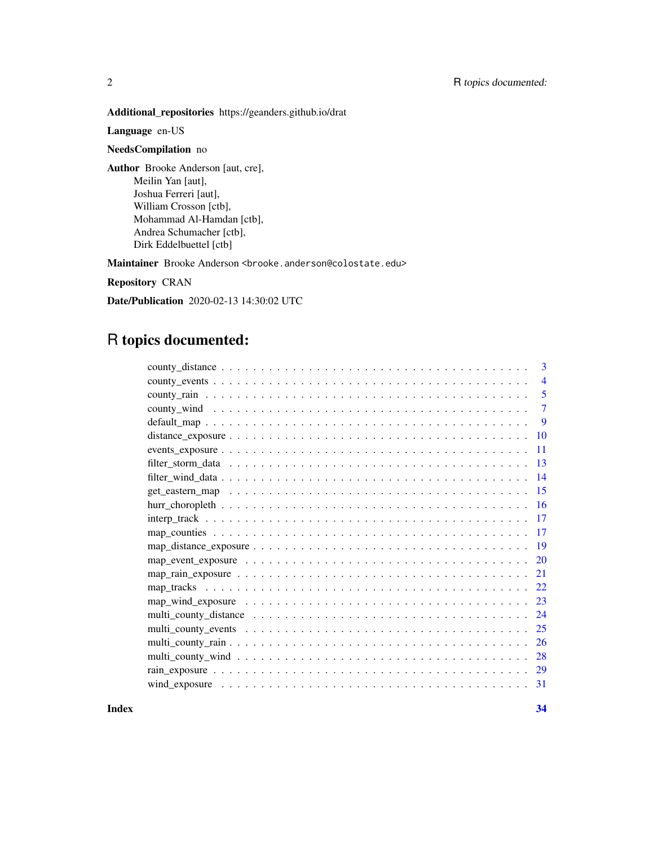Additional\_repositories https://geanders.github.io/drat

Language en-US

NeedsCompilation no

Author Brooke Anderson [aut, cre], Meilin Yan [aut], Joshua Ferreri [aut], William Crosson [ctb], Mohammad Al-Hamdan [ctb], Andrea Schumacher [ctb], Dirk Eddelbuettel [ctb]

Maintainer Brooke Anderson <br/>brooke.anderson@colostate.edu>

Repository CRAN

Date/Publication 2020-02-13 14:30:02 UTC

### R topics documented:

|     | 3              |
|-----|----------------|
|     | $\overline{4}$ |
|     | 5              |
|     | $\overline{7}$ |
|     | $\mathbf Q$    |
| -10 |                |
| 11  |                |
| 13  |                |
| 14  |                |
| 15  |                |
| 16  |                |
| 17  |                |
| 17  |                |
| -19 |                |
| 20  |                |
| 21  |                |
| 22  |                |
| 23  |                |
| 24  |                |
| 25  |                |
| 26  |                |
| 28  |                |
| 29  |                |
| 31  |                |
|     |                |

**Index** [34](#page-33-0)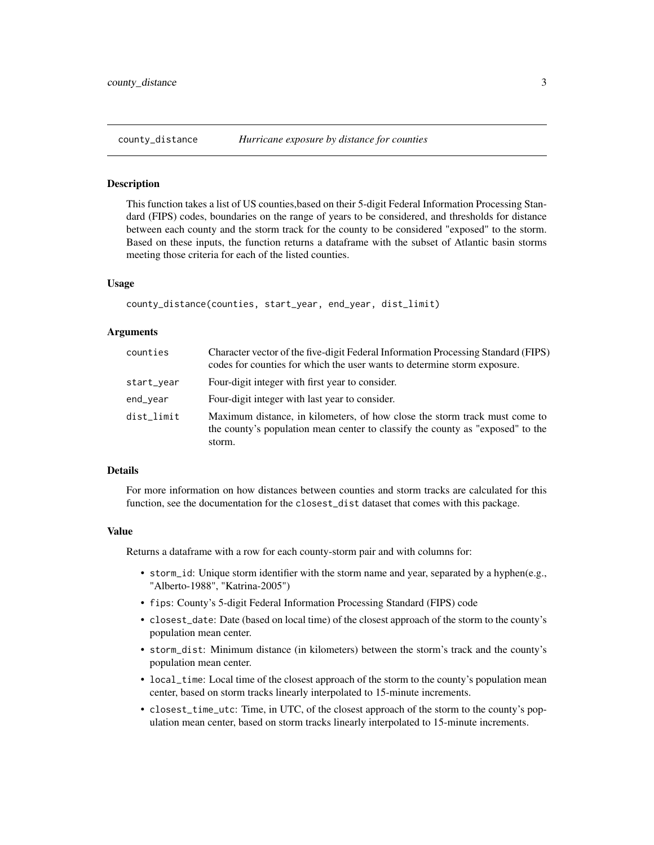<span id="page-2-0"></span>

#### Description

This function takes a list of US counties,based on their 5-digit Federal Information Processing Standard (FIPS) codes, boundaries on the range of years to be considered, and thresholds for distance between each county and the storm track for the county to be considered "exposed" to the storm. Based on these inputs, the function returns a dataframe with the subset of Atlantic basin storms meeting those criteria for each of the listed counties.

#### Usage

```
county_distance(counties, start_year, end_year, dist_limit)
```
#### Arguments

| counties   | Character vector of the five-digit Federal Information Processing Standard (FIPS)<br>codes for counties for which the user wants to determine storm exposure.          |
|------------|------------------------------------------------------------------------------------------------------------------------------------------------------------------------|
| start_year | Four-digit integer with first year to consider.                                                                                                                        |
| end_year   | Four-digit integer with last year to consider.                                                                                                                         |
| dist_limit | Maximum distance, in kilometers, of how close the storm track must come to<br>the county's population mean center to classify the county as "exposed" to the<br>storm. |

#### Details

For more information on how distances between counties and storm tracks are calculated for this function, see the documentation for the closest\_dist dataset that comes with this package.

#### Value

Returns a dataframe with a row for each county-storm pair and with columns for:

- storm\_id: Unique storm identifier with the storm name and year, separated by a hyphen(e.g., "Alberto-1988", "Katrina-2005")
- fips: County's 5-digit Federal Information Processing Standard (FIPS) code
- closest\_date: Date (based on local time) of the closest approach of the storm to the county's population mean center.
- storm\_dist: Minimum distance (in kilometers) between the storm's track and the county's population mean center.
- local\_time: Local time of the closest approach of the storm to the county's population mean center, based on storm tracks linearly interpolated to 15-minute increments.
- closest\_time\_utc: Time, in UTC, of the closest approach of the storm to the county's population mean center, based on storm tracks linearly interpolated to 15-minute increments.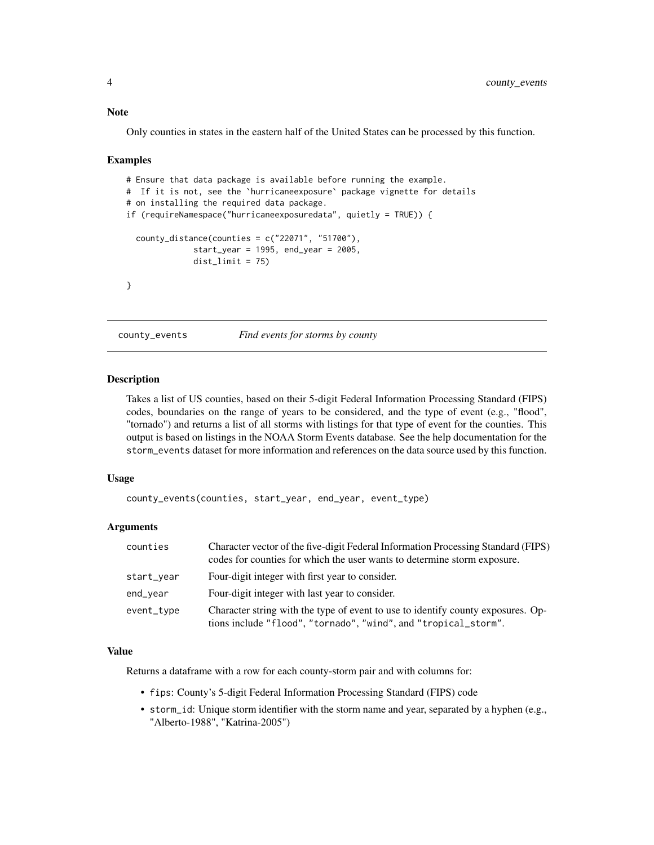#### <span id="page-3-0"></span>Note

Only counties in states in the eastern half of the United States can be processed by this function.

#### Examples

```
# Ensure that data package is available before running the example.
# If it is not, see the `hurricaneexposure` package vignette for details
# on installing the required data package.
if (requireNamespace("hurricaneexposuredata", quietly = TRUE)) {
 county_distance(counties = c("22071", "51700"),
              start_year = 1995, end_year = 2005,
              dist<sup>1</sup>= 75}
```
county\_events *Find events for storms by county*

#### Description

Takes a list of US counties, based on their 5-digit Federal Information Processing Standard (FIPS) codes, boundaries on the range of years to be considered, and the type of event (e.g., "flood", "tornado") and returns a list of all storms with listings for that type of event for the counties. This output is based on listings in the NOAA Storm Events database. See the help documentation for the storm\_events dataset for more information and references on the data source used by this function.

#### Usage

```
county_events(counties, start_year, end_year, event_type)
```
#### Arguments

| counties   | Character vector of the five-digit Federal Information Processing Standard (FIPS)<br>codes for counties for which the user wants to determine storm exposure. |  |
|------------|---------------------------------------------------------------------------------------------------------------------------------------------------------------|--|
| start_year | Four-digit integer with first year to consider.                                                                                                               |  |
| end_year   | Four-digit integer with last year to consider.                                                                                                                |  |
| event_type | Character string with the type of event to use to identify county exposures. Op-<br>tions include "flood", "tornado", "wind", and "tropical_storm".           |  |

#### Value

Returns a dataframe with a row for each county-storm pair and with columns for:

- fips: County's 5-digit Federal Information Processing Standard (FIPS) code
- storm\_id: Unique storm identifier with the storm name and year, separated by a hyphen (e.g., "Alberto-1988", "Katrina-2005")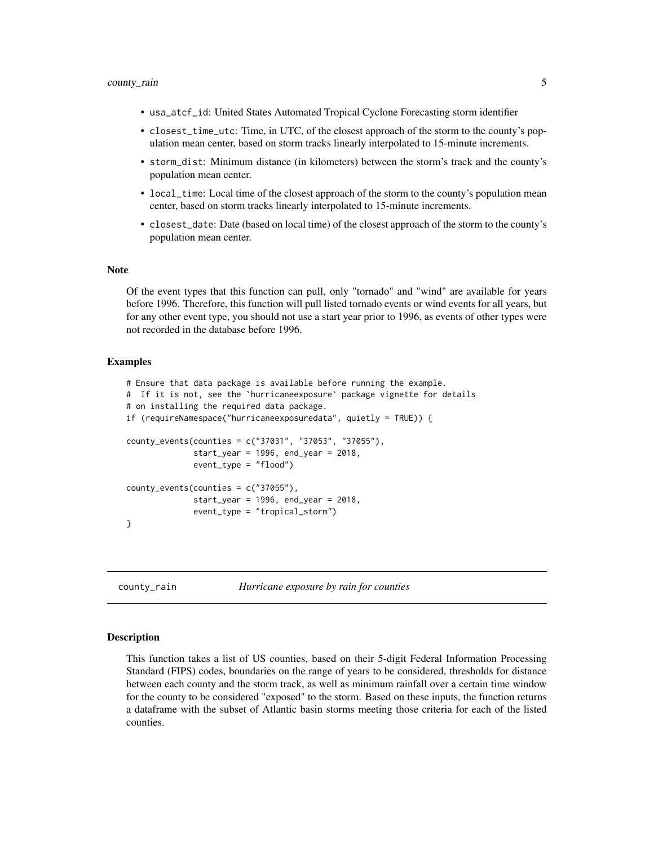- <span id="page-4-0"></span>• usa\_atcf\_id: United States Automated Tropical Cyclone Forecasting storm identifier
- closest\_time\_utc: Time, in UTC, of the closest approach of the storm to the county's population mean center, based on storm tracks linearly interpolated to 15-minute increments.
- storm\_dist: Minimum distance (in kilometers) between the storm's track and the county's population mean center.
- local\_time: Local time of the closest approach of the storm to the county's population mean center, based on storm tracks linearly interpolated to 15-minute increments.
- closest\_date: Date (based on local time) of the closest approach of the storm to the county's population mean center.

#### Note

Of the event types that this function can pull, only "tornado" and "wind" are available for years before 1996. Therefore, this function will pull listed tornado events or wind events for all years, but for any other event type, you should not use a start year prior to 1996, as events of other types were not recorded in the database before 1996.

#### Examples

```
# Ensure that data package is available before running the example.
# If it is not, see the `hurricaneexposure` package vignette for details
# on installing the required data package.
if (requireNamespace("hurricaneexposuredata", quietly = TRUE)) {
county_events(counties = c("37031", "37053", "37055"),
              start_year = 1996, end_year = 2018,
              event_type = "flood")
county_events(counties = c("37055"),
              start_year = 1996, end_year = 2018,
              event_type = "tropical_storm")
}
```
<span id="page-4-1"></span>county\_rain *Hurricane exposure by rain for counties*

#### Description

This function takes a list of US counties, based on their 5-digit Federal Information Processing Standard (FIPS) codes, boundaries on the range of years to be considered, thresholds for distance between each county and the storm track, as well as minimum rainfall over a certain time window for the county to be considered "exposed" to the storm. Based on these inputs, the function returns a dataframe with the subset of Atlantic basin storms meeting those criteria for each of the listed counties.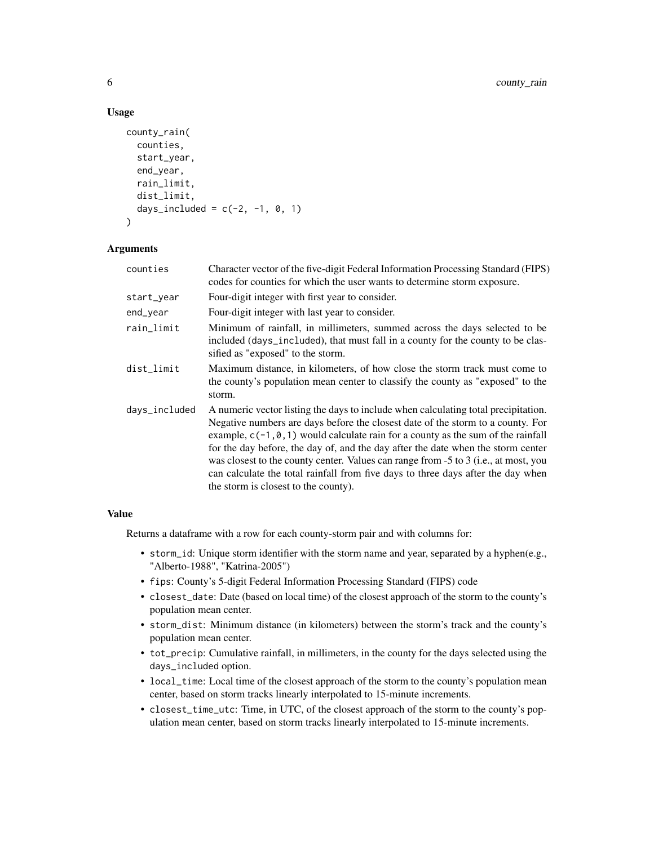#### Usage

```
county_rain(
  counties,
  start_year,
  end_year,
  rain_limit,
  dist_limit,
  days_included = c(-2, -1, 0, 1))
```
#### **Arguments**

| counties      | Character vector of the five-digit Federal Information Processing Standard (FIPS)<br>codes for counties for which the user wants to determine storm exposure.                                                                                                                                                                                                                                                                                                                                                                                                       |  |
|---------------|---------------------------------------------------------------------------------------------------------------------------------------------------------------------------------------------------------------------------------------------------------------------------------------------------------------------------------------------------------------------------------------------------------------------------------------------------------------------------------------------------------------------------------------------------------------------|--|
| start_year    | Four-digit integer with first year to consider.                                                                                                                                                                                                                                                                                                                                                                                                                                                                                                                     |  |
| end_year      | Four-digit integer with last year to consider.                                                                                                                                                                                                                                                                                                                                                                                                                                                                                                                      |  |
| rain_limit    | Minimum of rainfall, in millimeters, summed across the days selected to be<br>included (days_included), that must fall in a county for the county to be clas-<br>sified as "exposed" to the storm.                                                                                                                                                                                                                                                                                                                                                                  |  |
| dist_limit    | Maximum distance, in kilometers, of how close the storm track must come to<br>the county's population mean center to classify the county as "exposed" to the<br>storm.                                                                                                                                                                                                                                                                                                                                                                                              |  |
| days_included | A numeric vector listing the days to include when calculating total precipitation.<br>Negative numbers are days before the closest date of the storm to a county. For<br>example, $c(-1, 0, 1)$ would calculate rain for a county as the sum of the rainfall<br>for the day before, the day of, and the day after the date when the storm center<br>was closest to the county center. Values can range from -5 to 3 (i.e., at most, you<br>can calculate the total rainfall from five days to three days after the day when<br>the storm is closest to the county). |  |

#### Value

Returns a dataframe with a row for each county-storm pair and with columns for:

- storm\_id: Unique storm identifier with the storm name and year, separated by a hyphen(e.g., "Alberto-1988", "Katrina-2005")
- fips: County's 5-digit Federal Information Processing Standard (FIPS) code
- closest\_date: Date (based on local time) of the closest approach of the storm to the county's population mean center.
- storm\_dist: Minimum distance (in kilometers) between the storm's track and the county's population mean center.
- tot\_precip: Cumulative rainfall, in millimeters, in the county for the days selected using the days\_included option.
- local\_time: Local time of the closest approach of the storm to the county's population mean center, based on storm tracks linearly interpolated to 15-minute increments.
- closest\_time\_utc: Time, in UTC, of the closest approach of the storm to the county's population mean center, based on storm tracks linearly interpolated to 15-minute increments.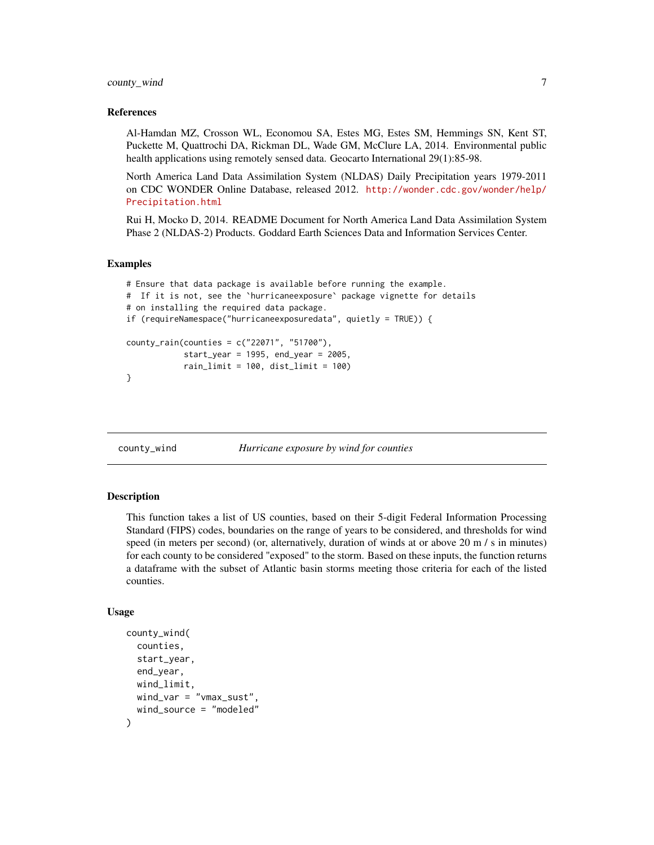#### <span id="page-6-0"></span>county\_wind 7

#### References

Al-Hamdan MZ, Crosson WL, Economou SA, Estes MG, Estes SM, Hemmings SN, Kent ST, Puckette M, Quattrochi DA, Rickman DL, Wade GM, McClure LA, 2014. Environmental public health applications using remotely sensed data. Geocarto International 29(1):85-98.

North America Land Data Assimilation System (NLDAS) Daily Precipitation years 1979-2011 on CDC WONDER Online Database, released 2012. [http://wonder.cdc.gov/wonder/help/](http://wonder.cdc.gov/wonder/help/Precipitation.html) [Precipitation.html](http://wonder.cdc.gov/wonder/help/Precipitation.html)

Rui H, Mocko D, 2014. README Document for North America Land Data Assimilation System Phase 2 (NLDAS-2) Products. Goddard Earth Sciences Data and Information Services Center.

#### Examples

```
# Ensure that data package is available before running the example.
# If it is not, see the `hurricaneexposure` package vignette for details
# on installing the required data package.
if (requireNamespace("hurricaneexposuredata", quietly = TRUE)) {
county_rain(counties = c("22071", "51700"),
            start_year = 1995, end_year = 2005,
            rainlimit = 100, dist_limit = 100)
}
```
<span id="page-6-1"></span>county\_wind *Hurricane exposure by wind for counties*

#### Description

This function takes a list of US counties, based on their 5-digit Federal Information Processing Standard (FIPS) codes, boundaries on the range of years to be considered, and thresholds for wind speed (in meters per second) (or, alternatively, duration of winds at or above 20 m / s in minutes) for each county to be considered "exposed" to the storm. Based on these inputs, the function returns a dataframe with the subset of Atlantic basin storms meeting those criteria for each of the listed counties.

```
county_wind(
  counties,
  start_year,
  end_year,
  wind_limit,
 wind_var = "vmax_sust",
  wind_source = "modeled"
)
```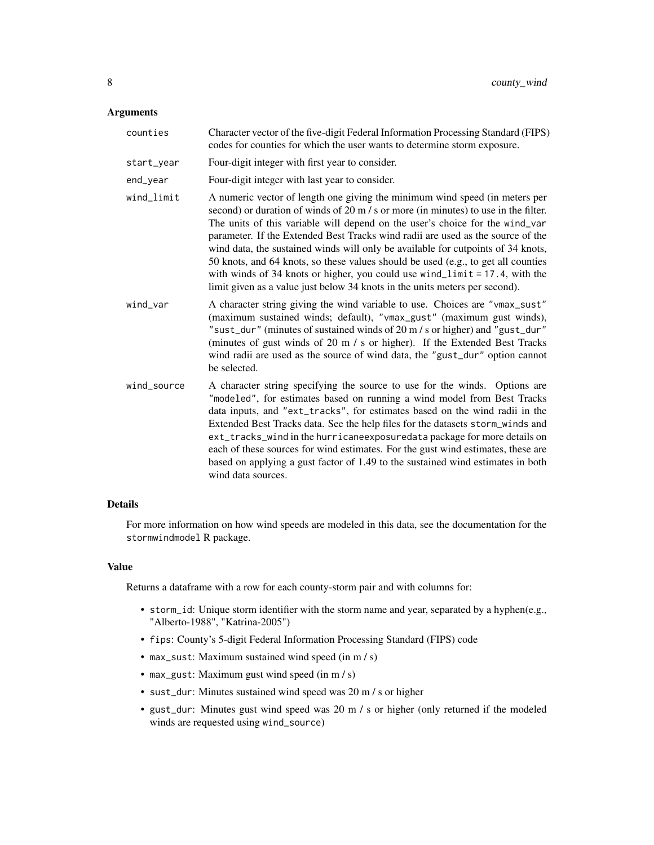| counties    | Character vector of the five-digit Federal Information Processing Standard (FIPS)<br>codes for counties for which the user wants to determine storm exposure.                                                                                                                                                                                                                                                                                                                                                                                                                                                                                                                  |  |
|-------------|--------------------------------------------------------------------------------------------------------------------------------------------------------------------------------------------------------------------------------------------------------------------------------------------------------------------------------------------------------------------------------------------------------------------------------------------------------------------------------------------------------------------------------------------------------------------------------------------------------------------------------------------------------------------------------|--|
| start_year  | Four-digit integer with first year to consider.                                                                                                                                                                                                                                                                                                                                                                                                                                                                                                                                                                                                                                |  |
| end_year    | Four-digit integer with last year to consider.                                                                                                                                                                                                                                                                                                                                                                                                                                                                                                                                                                                                                                 |  |
| wind_limit  | A numeric vector of length one giving the minimum wind speed (in meters per<br>second) or duration of winds of 20 m / s or more (in minutes) to use in the filter.<br>The units of this variable will depend on the user's choice for the wind_var<br>parameter. If the Extended Best Tracks wind radii are used as the source of the<br>wind data, the sustained winds will only be available for cutpoints of 34 knots,<br>50 knots, and 64 knots, so these values should be used (e.g., to get all counties<br>with winds of 34 knots or higher, you could use $wind$ limit = 17.4, with the<br>limit given as a value just below 34 knots in the units meters per second). |  |
| wind var    | A character string giving the wind variable to use. Choices are "vmax_sust"<br>(maximum sustained winds; default), "vmax_gust" (maximum gust winds),<br>"sust_dur" (minutes of sustained winds of 20 m / s or higher) and "gust_dur"<br>(minutes of gust winds of 20 m / s or higher). If the Extended Best Tracks<br>wind radii are used as the source of wind data, the "gust_dur" option cannot<br>be selected.                                                                                                                                                                                                                                                             |  |
| wind_source | A character string specifying the source to use for the winds. Options are<br>"modeled", for estimates based on running a wind model from Best Tracks<br>data inputs, and "ext_tracks", for estimates based on the wind radii in the<br>Extended Best Tracks data. See the help files for the datasets storm_winds and<br>ext_tracks_wind in the hurricaneexposuredata package for more details on<br>each of these sources for wind estimates. For the gust wind estimates, these are<br>based on applying a gust factor of 1.49 to the sustained wind estimates in both<br>wind data sources.                                                                                |  |

### Details

For more information on how wind speeds are modeled in this data, see the documentation for the stormwindmodel R package.

#### Value

Returns a dataframe with a row for each county-storm pair and with columns for:

- storm\_id: Unique storm identifier with the storm name and year, separated by a hyphen(e.g., "Alberto-1988", "Katrina-2005")
- fips: County's 5-digit Federal Information Processing Standard (FIPS) code
- max\_sust: Maximum sustained wind speed (in m / s)
- max\_gust: Maximum gust wind speed (in m / s)
- sust\_dur: Minutes sustained wind speed was 20 m / s or higher
- gust\_dur: Minutes gust wind speed was 20 m / s or higher (only returned if the modeled winds are requested using wind\_source)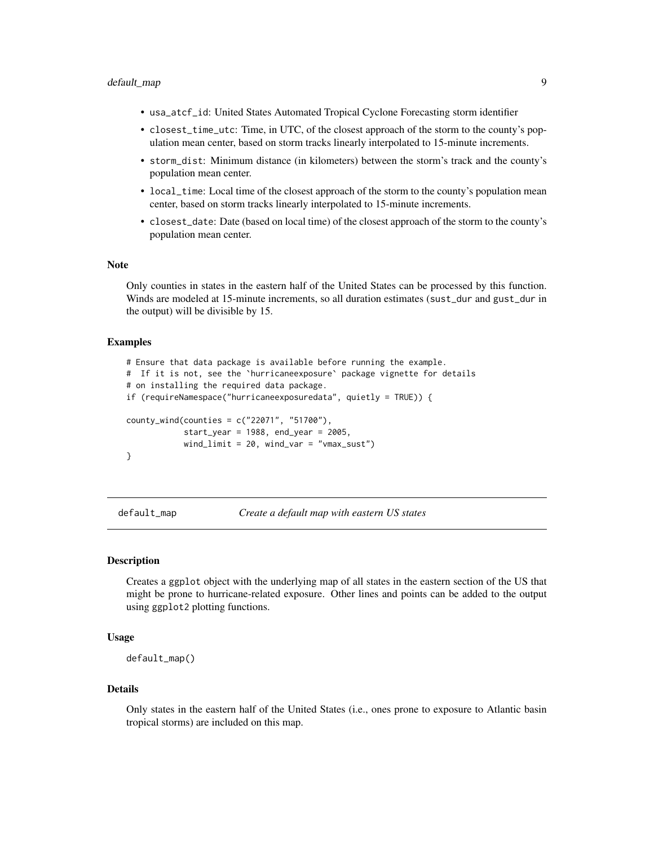- <span id="page-8-0"></span>• usa\_atcf\_id: United States Automated Tropical Cyclone Forecasting storm identifier
- closest\_time\_utc: Time, in UTC, of the closest approach of the storm to the county's population mean center, based on storm tracks linearly interpolated to 15-minute increments.
- storm\_dist: Minimum distance (in kilometers) between the storm's track and the county's population mean center.
- local\_time: Local time of the closest approach of the storm to the county's population mean center, based on storm tracks linearly interpolated to 15-minute increments.
- closest\_date: Date (based on local time) of the closest approach of the storm to the county's population mean center.

#### Note

Only counties in states in the eastern half of the United States can be processed by this function. Winds are modeled at 15-minute increments, so all duration estimates (sust\_dur and gust\_dur in the output) will be divisible by 15.

#### Examples

```
# Ensure that data package is available before running the example.
# If it is not, see the `hurricaneexposure` package vignette for details
# on installing the required data package.
if (requireNamespace("hurricaneexposuredata", quietly = TRUE)) {
county_wind(counties = c("22071", "51700"),
            start_year = 1988, end_year = 2005,
            wind_limit = 20, wind_var = "vmax_sust")
}
```
default\_map *Create a default map with eastern US states*

#### **Description**

Creates a ggplot object with the underlying map of all states in the eastern section of the US that might be prone to hurricane-related exposure. Other lines and points can be added to the output using ggplot2 plotting functions.

#### Usage

```
default_map()
```
#### Details

Only states in the eastern half of the United States (i.e., ones prone to exposure to Atlantic basin tropical storms) are included on this map.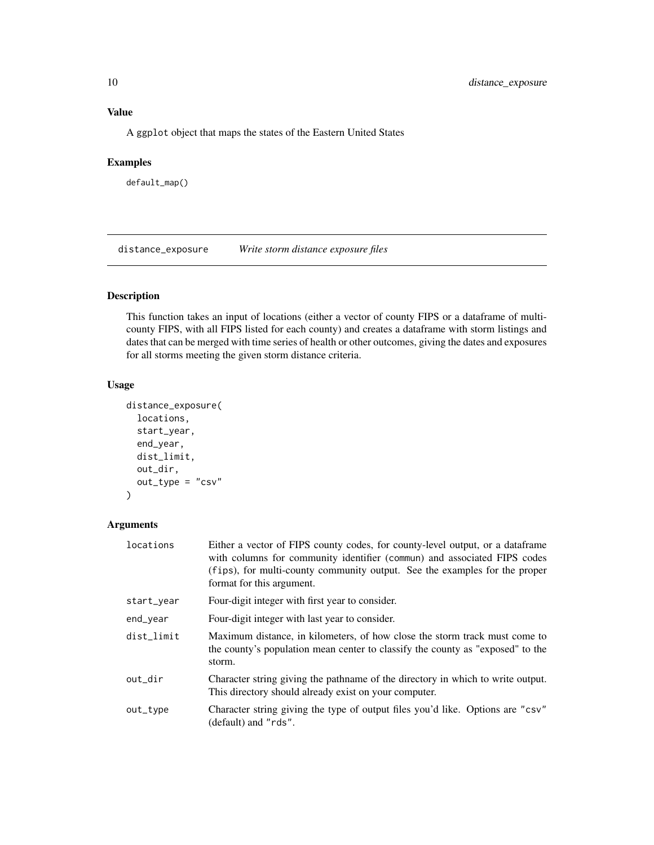A ggplot object that maps the states of the Eastern United States

#### Examples

default\_map()

distance\_exposure *Write storm distance exposure files*

#### Description

This function takes an input of locations (either a vector of county FIPS or a dataframe of multicounty FIPS, with all FIPS listed for each county) and creates a dataframe with storm listings and dates that can be merged with time series of health or other outcomes, giving the dates and exposures for all storms meeting the given storm distance criteria.

#### Usage

```
distance_exposure(
  locations,
  start_year,
  end_year,
  dist_limit,
  out_dir,
  out_type = "csv"
\mathcal{L}
```
#### Arguments

| locations  | Either a vector of FIPS county codes, for county-level output, or a data frame<br>with columns for community identifier (commun) and associated FIPS codes<br>(fips), for multi-county community output. See the examples for the proper<br>format for this argument. |
|------------|-----------------------------------------------------------------------------------------------------------------------------------------------------------------------------------------------------------------------------------------------------------------------|
| start_year | Four-digit integer with first year to consider.                                                                                                                                                                                                                       |
| end_vear   | Four-digit integer with last year to consider.                                                                                                                                                                                                                        |
| dist limit | Maximum distance, in kilometers, of how close the storm track must come to<br>the county's population mean center to classify the county as "exposed" to the<br>storm.                                                                                                |
| out_dir    | Character string giving the pathname of the directory in which to write output.<br>This directory should already exist on your computer.                                                                                                                              |
| out_type   | Character string giving the type of output files you'd like. Options are "csv"<br>(default) and "rds".                                                                                                                                                                |

<span id="page-9-0"></span>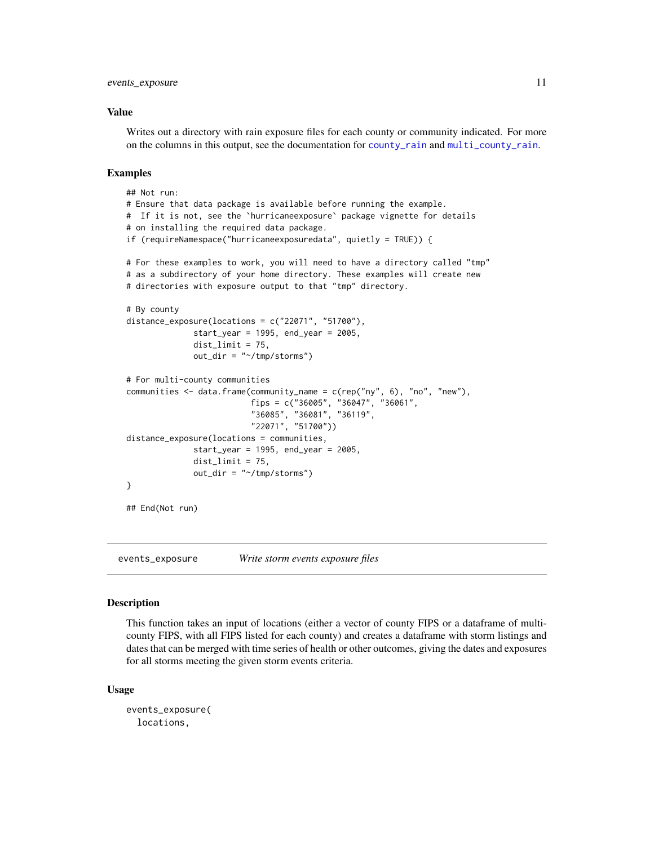#### <span id="page-10-0"></span>Value

Writes out a directory with rain exposure files for each county or community indicated. For more on the columns in this output, see the documentation for [county\\_rain](#page-4-1) and [multi\\_county\\_rain](#page-25-1).

#### Examples

```
## Not run:
# Ensure that data package is available before running the example.
# If it is not, see the `hurricaneexposure` package vignette for details
# on installing the required data package.
if (requireNamespace("hurricaneexposuredata", quietly = TRUE)) {
# For these examples to work, you will need to have a directory called "tmp"
# as a subdirectory of your home directory. These examples will create new
# directories with exposure output to that "tmp" directory.
# By county
distance_exposure(locations = c("22071", "51700"),
              start_year = 1995, end_year = 2005,
              dist<sup>1</sup>= 75,
              out_dir = "~/tmp/storms")
# For multi-county communities
communities <- data.frame(community_name = c(rep("ny", 6), "no", "new"),
                          fips = c("36005", "36047", "36061",
                          "36085", "36081", "36119",
                          "22071", "51700"))
distance_exposure(locations = communities,
              start_year = 1995, end_year = 2005,
              dist<sup>1</sup>= 75,
              out_dir = "~/tmp/storms")
}
## End(Not run)
```
events\_exposure *Write storm events exposure files*

#### Description

This function takes an input of locations (either a vector of county FIPS or a dataframe of multicounty FIPS, with all FIPS listed for each county) and creates a dataframe with storm listings and dates that can be merged with time series of health or other outcomes, giving the dates and exposures for all storms meeting the given storm events criteria.

```
events_exposure(
  locations,
```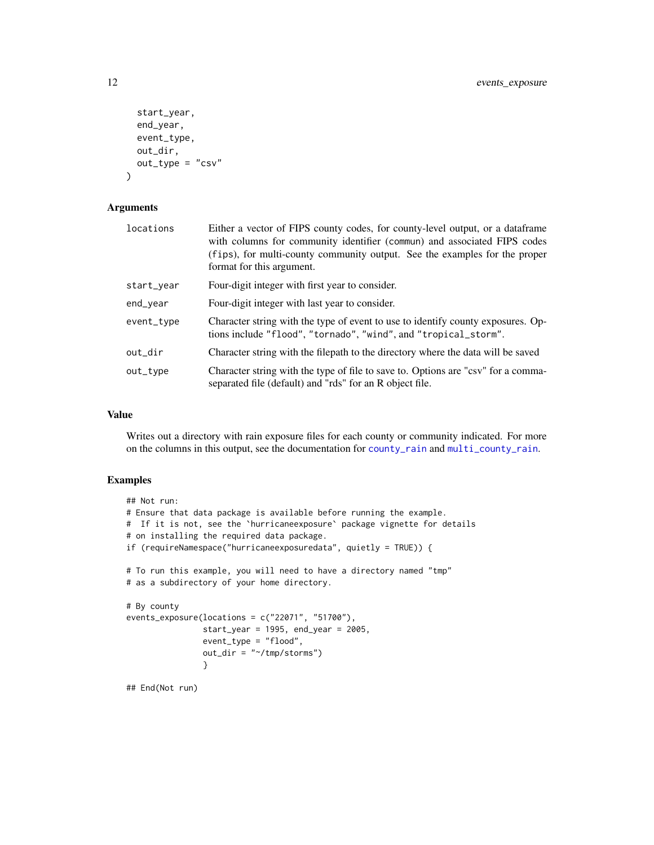```
start_year,
  end_year,
  event_type,
 out_dir,
 out_type = "csv"
\lambda
```

| locations  | Either a vector of FIPS county codes, for county-level output, or a dataframe<br>with columns for community identifier (commun) and associated FIPS codes<br>(fips), for multi-county community output. See the examples for the proper<br>format for this argument. |
|------------|----------------------------------------------------------------------------------------------------------------------------------------------------------------------------------------------------------------------------------------------------------------------|
| start_year | Four-digit integer with first year to consider.                                                                                                                                                                                                                      |
| end_year   | Four-digit integer with last year to consider.                                                                                                                                                                                                                       |
| event_type | Character string with the type of event to use to identify county exposures. Op-<br>tions include "flood", "tornado", "wind", and "tropical_storm".                                                                                                                  |
| out_dir    | Character string with the filepath to the directory where the data will be saved                                                                                                                                                                                     |
| $out_type$ | Character string with the type of file to save to. Options are "csv" for a comma-<br>separated file (default) and "rds" for an R object file.                                                                                                                        |

#### Value

Writes out a directory with rain exposure files for each county or community indicated. For more on the columns in this output, see the documentation for [county\\_rain](#page-4-1) and [multi\\_county\\_rain](#page-25-1).

```
## Not run:
# Ensure that data package is available before running the example.
# If it is not, see the `hurricaneexposure` package vignette for details
# on installing the required data package.
if (requireNamespace("hurricaneexposuredata", quietly = TRUE)) {
# To run this example, you will need to have a directory named "tmp"
# as a subdirectory of your home directory.
# By county
events_exposure(locations = c("22071", "51700"),
               start_year = 1995, end_year = 2005,
                event_type = "flood",
                out_dir = "~/tmp/storms")
                }
## End(Not run)
```
<span id="page-11-0"></span>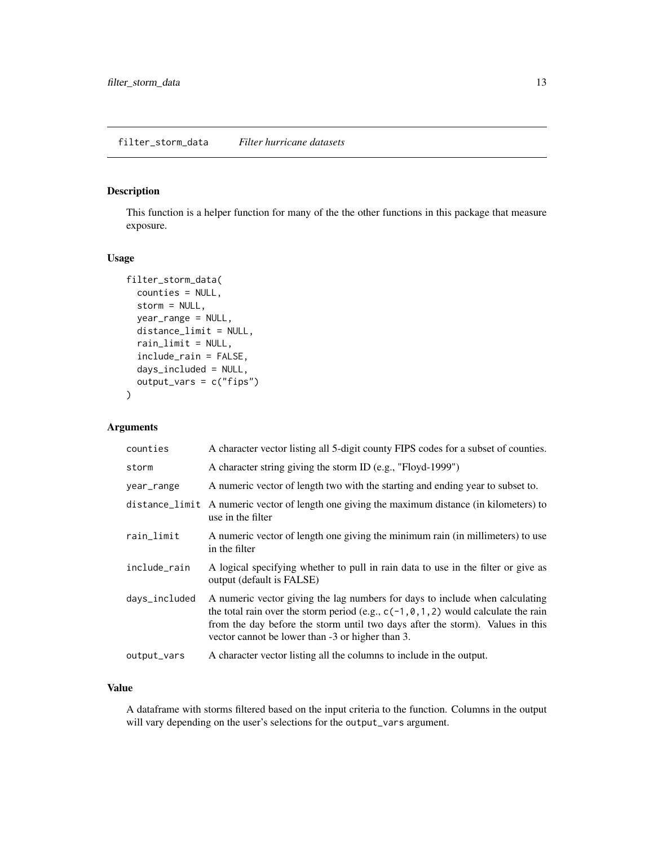#### <span id="page-12-0"></span>Description

This function is a helper function for many of the the other functions in this package that measure exposure.

#### Usage

```
filter_storm_data(
  counties = NULL,
  storm = NULL,
 year_range = NULL,
  distance_limit = NULL,
  rain_limit = NULL,
  include_rain = FALSE,
  days_included = NULL,
  output_vars = c("fips")
)
```
#### Arguments

| counties      | A character vector listing all 5-digit county FIPS codes for a subset of counties.                                                                                                                                                                                                                         |  |
|---------------|------------------------------------------------------------------------------------------------------------------------------------------------------------------------------------------------------------------------------------------------------------------------------------------------------------|--|
| storm         | A character string giving the storm ID (e.g., "Floyd-1999")                                                                                                                                                                                                                                                |  |
| year_range    | A numeric vector of length two with the starting and ending year to subset to.                                                                                                                                                                                                                             |  |
|               | distance_limit A numeric vector of length one giving the maximum distance (in kilometers) to<br>use in the filter                                                                                                                                                                                          |  |
| rain_limit    | A numeric vector of length one giving the minimum rain (in millimeters) to use<br>in the filter                                                                                                                                                                                                            |  |
| include_rain  | A logical specifying whether to pull in rain data to use in the filter or give as<br>output (default is FALSE)                                                                                                                                                                                             |  |
| days_included | A numeric vector giving the lag numbers for days to include when calculating<br>the total rain over the storm period (e.g., $c(-1, 0, 1, 2)$ would calculate the rain<br>from the day before the storm until two days after the storm). Values in this<br>vector cannot be lower than -3 or higher than 3. |  |
| output_vars   | A character vector listing all the columns to include in the output.                                                                                                                                                                                                                                       |  |

#### Value

A dataframe with storms filtered based on the input criteria to the function. Columns in the output will vary depending on the user's selections for the output\_vars argument.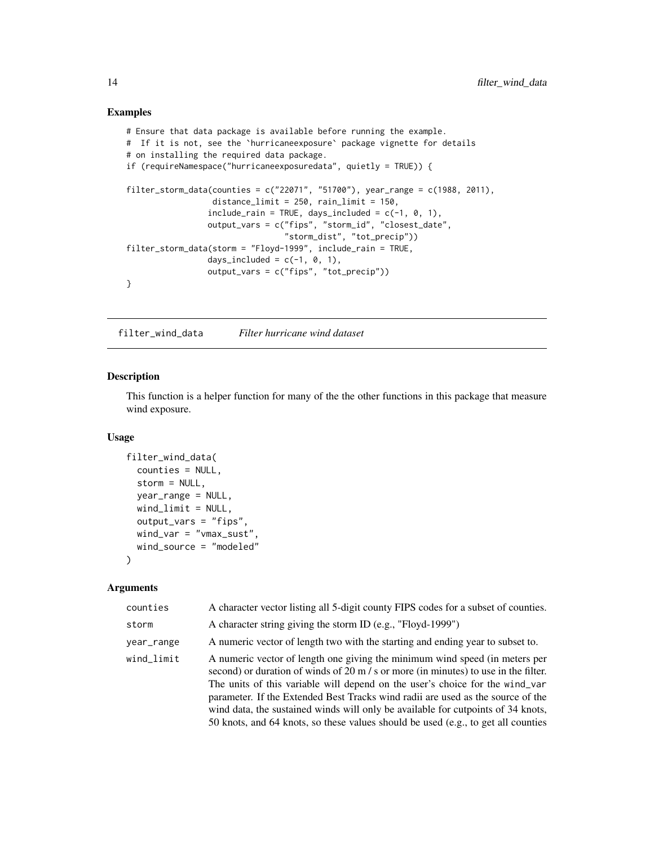#### Examples

```
# Ensure that data package is available before running the example.
# If it is not, see the `hurricaneexposure` package vignette for details
# on installing the required data package.
if (requireNamespace("hurricaneexposuredata", quietly = TRUE)) {
filter_storm_data(counties = c("22071", "51700"), year_range = c(1988, 2011),
                  distance_limit = 250, rain_limit = 150,
                 include_{rain} = TRUE, days_{include} = c(-1, 0, 1),output_vars = c("fips", "storm_id", "closest_date",
                                 "storm_dist", "tot_precip"))
filter_storm_data(storm = "Floyd-1999", include_rain = TRUE,
                 days_included = c(-1, 0, 1),
                 output_vars = c("fips", "tot_precip"))
}
```
filter\_wind\_data *Filter hurricane wind dataset*

#### Description

This function is a helper function for many of the the other functions in this package that measure wind exposure.

#### Usage

```
filter_wind_data(
  counties = NULL,
  storm = NULL,
  year_range = NULL,
 wind_limit = NULL,
  output_vars = "fips",
 wind_var = "vmax_sust",
  wind_source = "modeled"
)
```
#### Arguments

| counties   | A character vector listing all 5-digit county FIPS codes for a subset of counties.                                                                                                                                                                                                                                                                                                                                                                                                                             |  |
|------------|----------------------------------------------------------------------------------------------------------------------------------------------------------------------------------------------------------------------------------------------------------------------------------------------------------------------------------------------------------------------------------------------------------------------------------------------------------------------------------------------------------------|--|
| storm      | A character string giving the storm ID (e.g., "Floyd-1999")                                                                                                                                                                                                                                                                                                                                                                                                                                                    |  |
| year_range | A numeric vector of length two with the starting and ending year to subset to.                                                                                                                                                                                                                                                                                                                                                                                                                                 |  |
| wind_limit | A numeric vector of length one giving the minimum wind speed (in meters per<br>second) or duration of winds of 20 m / s or more (in minutes) to use in the filter.<br>The units of this variable will depend on the user's choice for the wind_var<br>parameter. If the Extended Best Tracks wind radii are used as the source of the<br>wind data, the sustained winds will only be available for cutpoints of 34 knots,<br>50 knots, and 64 knots, so these values should be used (e.g., to get all counties |  |

<span id="page-13-0"></span>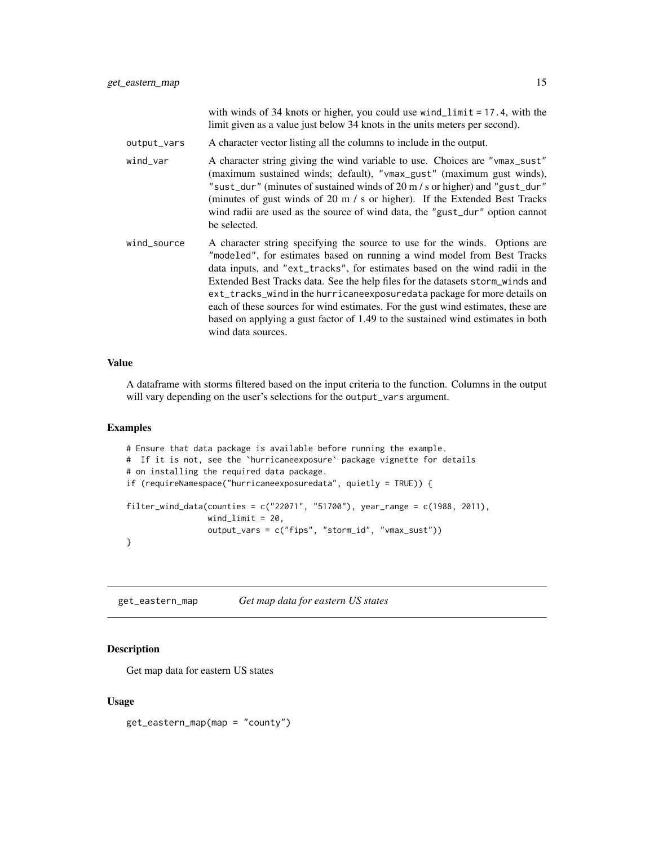<span id="page-14-0"></span>

|             | with winds of 34 knots or higher, you could use wind_limit = $17.4$ , with the<br>limit given as a value just below 34 knots in the units meters per second).                                                                                                                                                                                                                                                                                                                                                                                                                                   |
|-------------|-------------------------------------------------------------------------------------------------------------------------------------------------------------------------------------------------------------------------------------------------------------------------------------------------------------------------------------------------------------------------------------------------------------------------------------------------------------------------------------------------------------------------------------------------------------------------------------------------|
| output_vars | A character vector listing all the columns to include in the output.                                                                                                                                                                                                                                                                                                                                                                                                                                                                                                                            |
| wind_var    | A character string giving the wind variable to use. Choices are "vmax_sust"<br>(maximum sustained winds; default), "vmax_gust" (maximum gust winds),<br>"sust_dur" (minutes of sustained winds of 20 m / s or higher) and "gust_dur"<br>(minutes of gust winds of 20 m / s or higher). If the Extended Best Tracks<br>wind radii are used as the source of wind data, the "gust_dur" option cannot<br>be selected.                                                                                                                                                                              |
| wind_source | A character string specifying the source to use for the winds. Options are<br>"modeled", for estimates based on running a wind model from Best Tracks<br>data inputs, and "ext_tracks", for estimates based on the wind radii in the<br>Extended Best Tracks data. See the help files for the datasets storm_winds and<br>ext_tracks_wind in the hurricaneexposuredata package for more details on<br>each of these sources for wind estimates. For the gust wind estimates, these are<br>based on applying a gust factor of 1.49 to the sustained wind estimates in both<br>wind data sources. |

#### Value

A dataframe with storms filtered based on the input criteria to the function. Columns in the output will vary depending on the user's selections for the output\_vars argument.

#### Examples

```
# Ensure that data package is available before running the example.
# If it is not, see the `hurricaneexposure` package vignette for details
# on installing the required data package.
if (requireNamespace("hurricaneexposuredata", quietly = TRUE)) {
filter_wind_data(counties = c("22071", "51700"), year_range = c(1988, 2011),
                windlimit = 20,
                 output_vars = c("fips", "storm_id", "vmax_sust"))
}
```
get\_eastern\_map *Get map data for eastern US states*

#### Description

Get map data for eastern US states

#### Usage

get\_eastern\_map(map = "county")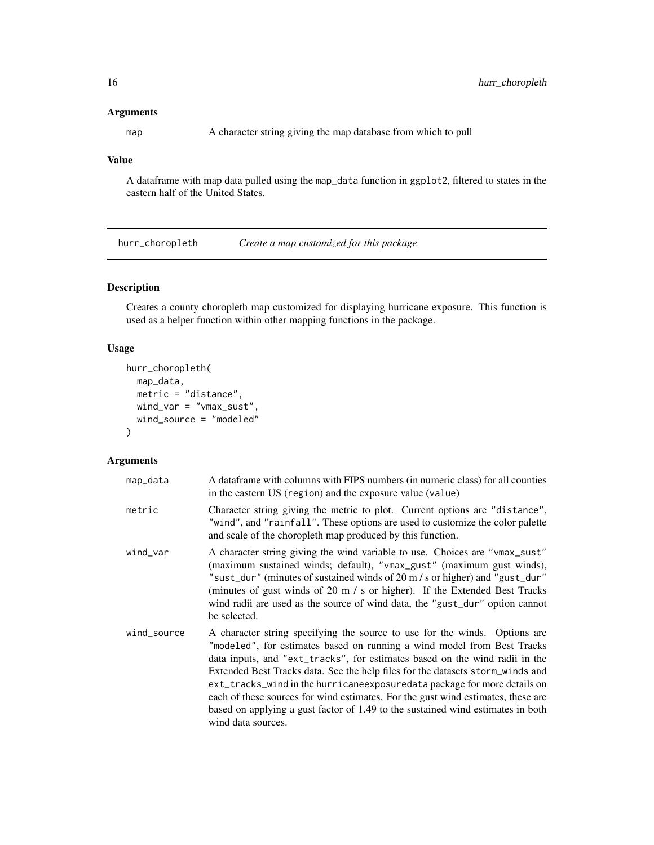<span id="page-15-0"></span>map A character string giving the map database from which to pull

#### Value

A dataframe with map data pulled using the map\_data function in ggplot2, filtered to states in the eastern half of the United States.

hurr\_choropleth *Create a map customized for this package*

#### Description

Creates a county choropleth map customized for displaying hurricane exposure. This function is used as a helper function within other mapping functions in the package.

#### Usage

```
hurr_choropleth(
 map_data,
 metric = "distance",
 wind\_var = "vmax\_sust"wind_source = "modeled"
)
```
#### Arguments

| map_data    | A data frame with columns with FIPS numbers (in numeric class) for all counties<br>in the eastern US (region) and the exposure value (value)                                                                                                                                                                                                                                                                                                                                                                                                                                                    |
|-------------|-------------------------------------------------------------------------------------------------------------------------------------------------------------------------------------------------------------------------------------------------------------------------------------------------------------------------------------------------------------------------------------------------------------------------------------------------------------------------------------------------------------------------------------------------------------------------------------------------|
| metric      | Character string giving the metric to plot. Current options are "distance",<br>"wind", and "rainfall". These options are used to customize the color palette<br>and scale of the choropleth map produced by this function.                                                                                                                                                                                                                                                                                                                                                                      |
| wind_var    | A character string giving the wind variable to use. Choices are "vmax_sust"<br>(maximum sustained winds; default), "vmax_gust" (maximum gust winds),<br>"sust_dur" (minutes of sustained winds of 20 m / s or higher) and "gust_dur"<br>(minutes of gust winds of 20 m / s or higher). If the Extended Best Tracks<br>wind radii are used as the source of wind data, the "gust_dur" option cannot<br>be selected.                                                                                                                                                                              |
| wind_source | A character string specifying the source to use for the winds. Options are<br>"modeled", for estimates based on running a wind model from Best Tracks<br>data inputs, and "ext_tracks", for estimates based on the wind radii in the<br>Extended Best Tracks data. See the help files for the datasets storm_winds and<br>ext_tracks_wind in the hurricaneexposuredata package for more details on<br>each of these sources for wind estimates. For the gust wind estimates, these are<br>based on applying a gust factor of 1.49 to the sustained wind estimates in both<br>wind data sources. |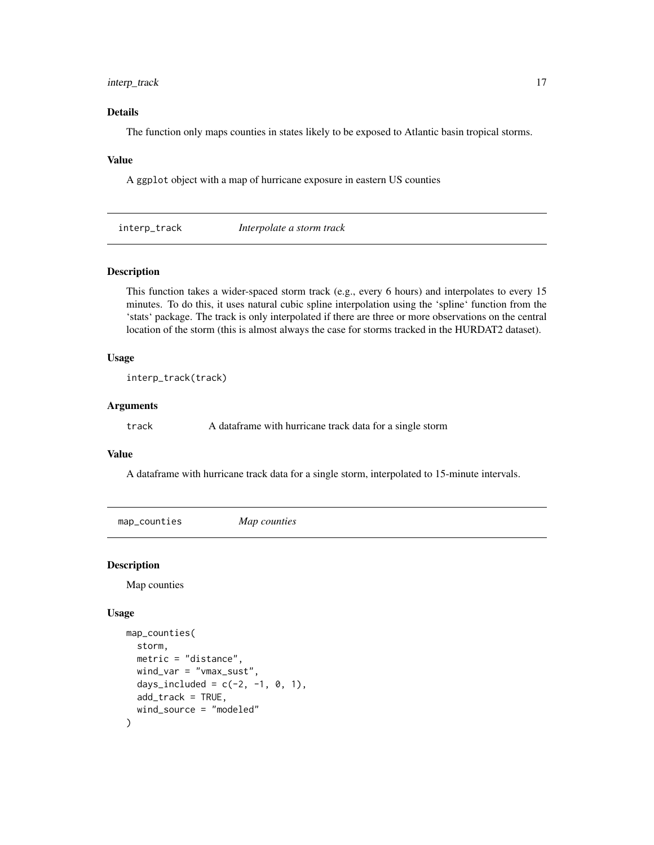#### <span id="page-16-0"></span>interp\_track 17

#### Details

The function only maps counties in states likely to be exposed to Atlantic basin tropical storms.

#### Value

A ggplot object with a map of hurricane exposure in eastern US counties

| interp_track | Interpolate a storm track |
|--------------|---------------------------|
|--------------|---------------------------|

#### Description

This function takes a wider-spaced storm track (e.g., every 6 hours) and interpolates to every 15 minutes. To do this, it uses natural cubic spline interpolation using the 'spline' function from the 'stats' package. The track is only interpolated if there are three or more observations on the central location of the storm (this is almost always the case for storms tracked in the HURDAT2 dataset).

#### Usage

interp\_track(track)

#### Arguments

track A dataframe with hurricane track data for a single storm

#### Value

A dataframe with hurricane track data for a single storm, interpolated to 15-minute intervals.

map\_counties *Map counties*

#### Description

Map counties

```
map_counties(
  storm,
  metric = "distance",
 wind_var = "vmax_sust",
  days_included = c(-2, -1, 0, 1),
  add_track = TRUE,
  wind_source = "modeled"
)
```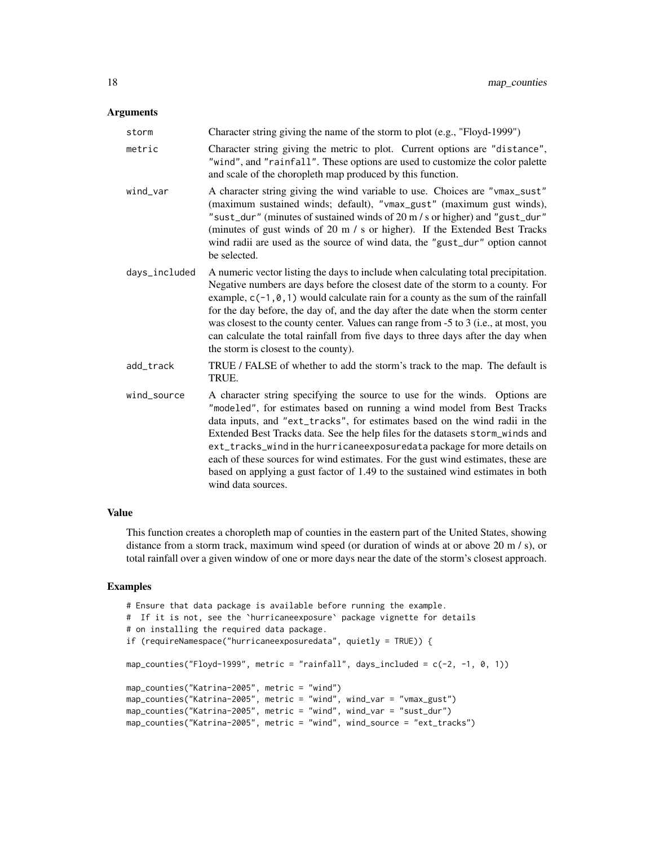| storm         | Character string giving the name of the storm to plot (e.g., "Floyd-1999")                                                                                                                                                                                                                                                                                                                                                                                                                                                                                                                      |
|---------------|-------------------------------------------------------------------------------------------------------------------------------------------------------------------------------------------------------------------------------------------------------------------------------------------------------------------------------------------------------------------------------------------------------------------------------------------------------------------------------------------------------------------------------------------------------------------------------------------------|
| metric        | Character string giving the metric to plot. Current options are "distance",<br>"wind", and "rainfall". These options are used to customize the color palette<br>and scale of the choropleth map produced by this function.                                                                                                                                                                                                                                                                                                                                                                      |
| wind_var      | A character string giving the wind variable to use. Choices are "vmax_sust"<br>(maximum sustained winds; default), "vmax_gust" (maximum gust winds),<br>"sust_dur" (minutes of sustained winds of 20 m / s or higher) and "gust_dur"<br>(minutes of gust winds of 20 m / s or higher). If the Extended Best Tracks<br>wind radii are used as the source of wind data, the "gust_dur" option cannot<br>be selected.                                                                                                                                                                              |
| days_included | A numeric vector listing the days to include when calculating total precipitation.<br>Negative numbers are days before the closest date of the storm to a county. For<br>example, $c(-1, 0, 1)$ would calculate rain for a county as the sum of the rainfall<br>for the day before, the day of, and the day after the date when the storm center<br>was closest to the county center. Values can range from -5 to 3 (i.e., at most, you<br>can calculate the total rainfall from five days to three days after the day when<br>the storm is closest to the county).                             |
| add_track     | TRUE / FALSE of whether to add the storm's track to the map. The default is<br>TRUE.                                                                                                                                                                                                                                                                                                                                                                                                                                                                                                            |
| wind_source   | A character string specifying the source to use for the winds. Options are<br>"modeled", for estimates based on running a wind model from Best Tracks<br>data inputs, and "ext_tracks", for estimates based on the wind radii in the<br>Extended Best Tracks data. See the help files for the datasets storm_winds and<br>ext_tracks_wind in the hurricaneexposuredata package for more details on<br>each of these sources for wind estimates. For the gust wind estimates, these are<br>based on applying a gust factor of 1.49 to the sustained wind estimates in both<br>wind data sources. |

#### Value

This function creates a choropleth map of counties in the eastern part of the United States, showing distance from a storm track, maximum wind speed (or duration of winds at or above 20 m / s), or total rainfall over a given window of one or more days near the date of the storm's closest approach.

```
# Ensure that data package is available before running the example.
# If it is not, see the `hurricaneexposure` package vignette for details
# on installing the required data package.
if (requireNamespace("hurricaneexposuredata", quietly = TRUE)) {
map_counties("Floyd-1999", metric = "rainfall", days_included = c(-2, -1, 0, 1))
map_counties("Katrina-2005", metric = "wind")
map_counties("Katrina-2005", metric = "wind", wind_var = "vmax_gust")
map_counties("Katrina-2005", metric = "wind", wind_var = "sust_dur")
map_counties("Katrina-2005", metric = "wind", wind_source = "ext_tracks")
```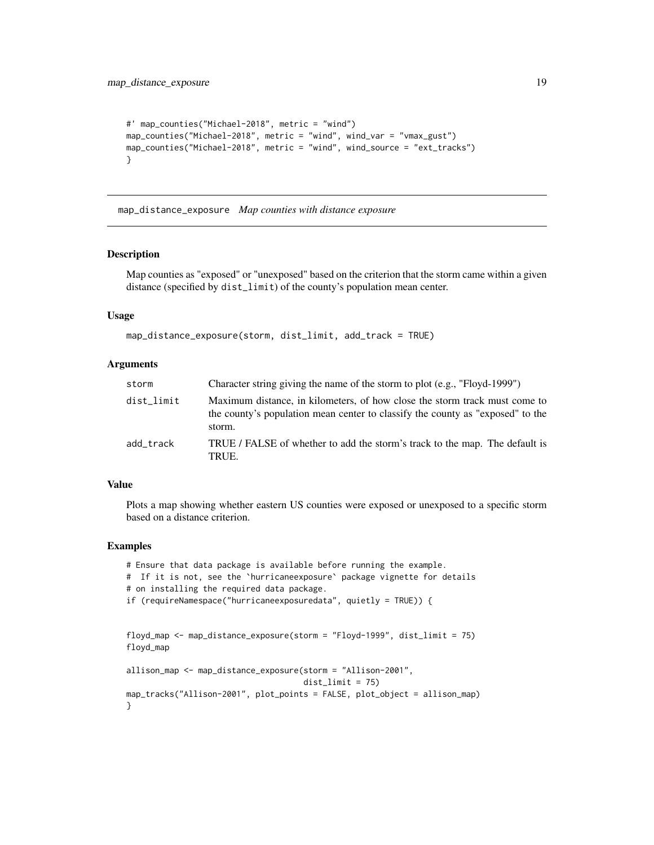```
#' map_counties("Michael-2018", metric = "wind")
map_counties("Michael-2018", metric = "wind", wind_var = "vmax_gust")
map_counties("Michael-2018", metric = "wind", wind_source = "ext_tracks")
}
```
map\_distance\_exposure *Map counties with distance exposure*

#### Description

Map counties as "exposed" or "unexposed" based on the criterion that the storm came within a given distance (specified by dist\_limit) of the county's population mean center.

#### Usage

```
map_distance_exposure(storm, dist_limit, add_track = TRUE)
```
#### Arguments

| storm      | Character string giving the name of the storm to plot $(e.g., "Floyd-1999")$                                                                                           |
|------------|------------------------------------------------------------------------------------------------------------------------------------------------------------------------|
| dist_limit | Maximum distance, in kilometers, of how close the storm track must come to<br>the county's population mean center to classify the county as "exposed" to the<br>storm. |
| add track  | TRUE / FALSE of whether to add the storm's track to the map. The default is<br>TRUE.                                                                                   |

#### Value

Plots a map showing whether eastern US counties were exposed or unexposed to a specific storm based on a distance criterion.

```
# Ensure that data package is available before running the example.
# If it is not, see the `hurricaneexposure` package vignette for details
# on installing the required data package.
if (requireNamespace("hurricaneexposuredata", quietly = TRUE)) {
floyd_map <- map_distance_exposure(storm = "Floyd-1999", dist_limit = 75)
floyd_map
allison_map <- map_distance_exposure(storm = "Allison-2001",
                                     dist<sub>-</sub>limit = 75)
map_tracks("Allison-2001", plot_points = FALSE, plot_object = allison_map)
}
```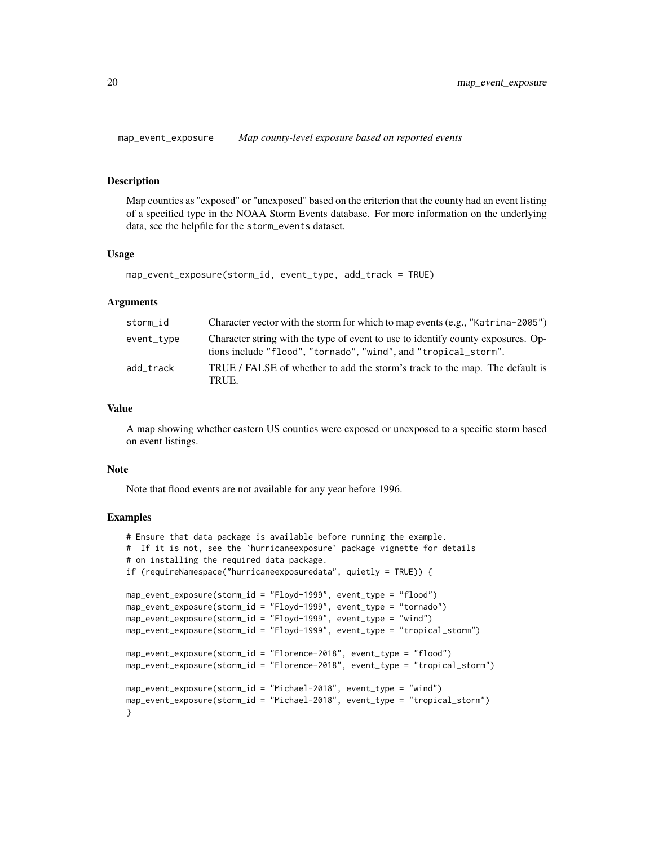<span id="page-19-0"></span>map\_event\_exposure *Map county-level exposure based on reported events*

#### Description

Map counties as "exposed" or "unexposed" based on the criterion that the county had an event listing of a specified type in the NOAA Storm Events database. For more information on the underlying data, see the helpfile for the storm\_events dataset.

#### Usage

```
map_event_exposure(storm_id, event_type, add_track = TRUE)
```
#### Arguments

| storm id   | Character vector with the storm for which to map events (e.g., "Katrina-2005")                                                                      |
|------------|-----------------------------------------------------------------------------------------------------------------------------------------------------|
| event_type | Character string with the type of event to use to identify county exposures. Op-<br>tions include "flood", "tornado", "wind", and "tropical_storm". |
| add track  | TRUE / FALSE of whether to add the storm's track to the map. The default is<br>TRUE.                                                                |

#### Value

A map showing whether eastern US counties were exposed or unexposed to a specific storm based on event listings.

#### Note

Note that flood events are not available for any year before 1996.

```
# Ensure that data package is available before running the example.
# If it is not, see the `hurricaneexposure` package vignette for details
# on installing the required data package.
if (requireNamespace("hurricaneexposuredata", quietly = TRUE)) {
map_event_exposure(storm_id = "Floyd-1999", event_type = "flood")
map_event_exposure(storm_id = "Floyd-1999", event_type = "tornado")
map_event_exposure(storm_id = "Floyd-1999", event_type = "wind")
map_event_exposure(storm_id = "Floyd-1999", event_type = "tropical_storm")
map_event_exposure(storm_id = "Florence-2018", event_type = "flood")
map_event_exposure(storm_id = "Florence-2018", event_type = "tropical_storm")
map_event_exposure(storm_id = "Michael-2018", event_type = "wind")
map_event_exposure(storm_id = "Michael-2018", event_type = "tropical_storm")
}
```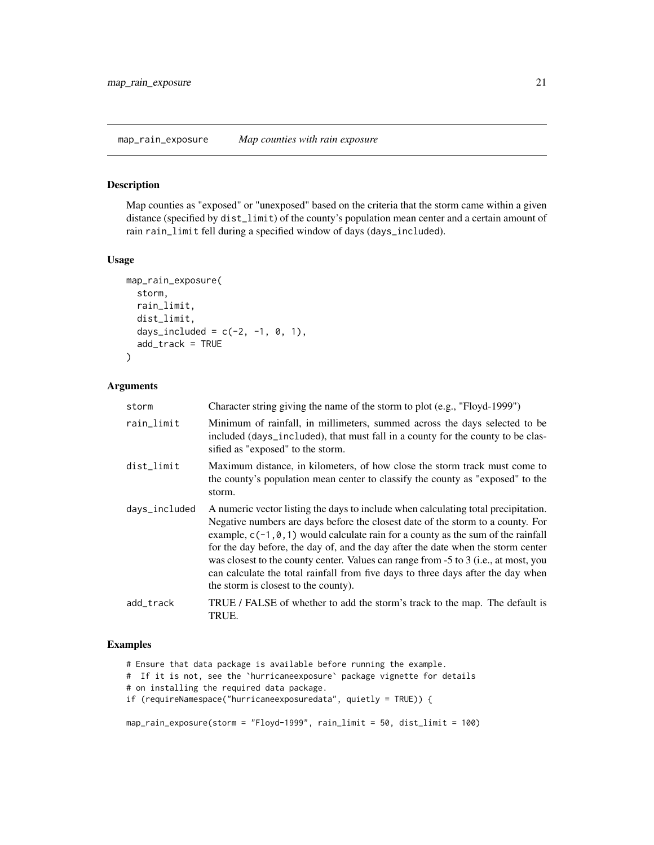#### <span id="page-20-0"></span>Description

Map counties as "exposed" or "unexposed" based on the criteria that the storm came within a given distance (specified by dist\_limit) of the county's population mean center and a certain amount of rain rain\_limit fell during a specified window of days (days\_included).

#### Usage

```
map_rain_exposure(
  storm,
  rain_limit,
  dist_limit,
  days_included = c(-2, -1, 0, 1),
  add_track = TRUE
)
```
#### Arguments

| storm         | Character string giving the name of the storm to plot (e.g., "Floyd-1999")                                                                                                                                                                                                                                                                                                                                                                                                                                                                                          |
|---------------|---------------------------------------------------------------------------------------------------------------------------------------------------------------------------------------------------------------------------------------------------------------------------------------------------------------------------------------------------------------------------------------------------------------------------------------------------------------------------------------------------------------------------------------------------------------------|
| rain_limit    | Minimum of rainfall, in millimeters, summed across the days selected to be<br>included (days_included), that must fall in a county for the county to be clas-<br>sified as "exposed" to the storm.                                                                                                                                                                                                                                                                                                                                                                  |
| dist_limit    | Maximum distance, in kilometers, of how close the storm track must come to<br>the county's population mean center to classify the county as "exposed" to the<br>storm.                                                                                                                                                                                                                                                                                                                                                                                              |
| days_included | A numeric vector listing the days to include when calculating total precipitation.<br>Negative numbers are days before the closest date of the storm to a county. For<br>example, $c(-1, 0, 1)$ would calculate rain for a county as the sum of the rainfall<br>for the day before, the day of, and the day after the date when the storm center<br>was closest to the county center. Values can range from -5 to 3 (i.e., at most, you<br>can calculate the total rainfall from five days to three days after the day when<br>the storm is closest to the county). |
| add_track     | TRUE / FALSE of whether to add the storm's track to the map. The default is<br>TRUE.                                                                                                                                                                                                                                                                                                                                                                                                                                                                                |

#### Examples

# Ensure that data package is available before running the example. # If it is not, see the `hurricaneexposure` package vignette for details # on installing the required data package. if (requireNamespace("hurricaneexposuredata", quietly = TRUE)) { map\_rain\_exposure(storm = "Floyd-1999", rain\_limit = 50, dist\_limit = 100)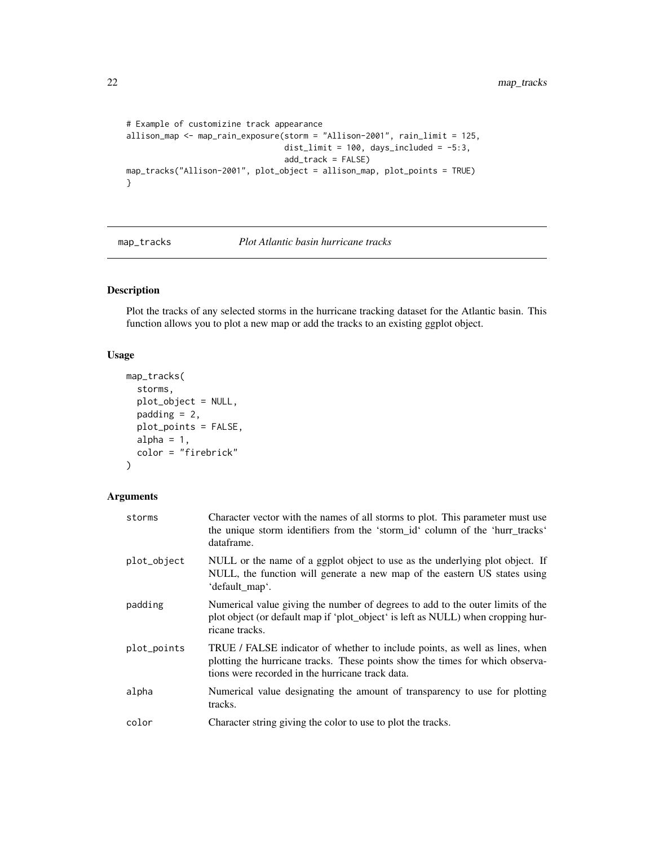```
# Example of customizine track appearance
allison_map <- map_rain_exposure(storm = "Allison-2001", rain_limit = 125,
                                 dist_limit = 100, days_included = -5:3,
                                 add_track = FALSE)
map_tracks("Allison-2001", plot_object = allison_map, plot_points = TRUE)
}
```
map\_tracks *Plot Atlantic basin hurricane tracks*

#### Description

Plot the tracks of any selected storms in the hurricane tracking dataset for the Atlantic basin. This function allows you to plot a new map or add the tracks to an existing ggplot object.

#### Usage

```
map_tracks(
  storms,
 plot_object = NULL,
 padding = 2,
 plot_points = FALSE,
  alpha = 1,
  color = "firebrick"
)
```
#### Arguments

| storms      | Character vector with the names of all storms to plot. This parameter must use<br>the unique storm identifiers from the 'storm_id' column of the 'hurr_tracks'<br>dataframe.                                     |
|-------------|------------------------------------------------------------------------------------------------------------------------------------------------------------------------------------------------------------------|
| plot_object | NULL or the name of a ggplot object to use as the underlying plot object. If<br>NULL, the function will generate a new map of the eastern US states using<br>'default_map'.                                      |
| padding     | Numerical value giving the number of degrees to add to the outer limits of the<br>plot object (or default map if 'plot_object' is left as NULL) when cropping hur-<br>ricane tracks.                             |
| plot_points | TRUE / FALSE indicator of whether to include points, as well as lines, when<br>plotting the hurricane tracks. These points show the times for which observa-<br>tions were recorded in the hurricane track data. |
| alpha       | Numerical value designating the amount of transparency to use for plotting<br>tracks.                                                                                                                            |
| color       | Character string giving the color to use to plot the tracks.                                                                                                                                                     |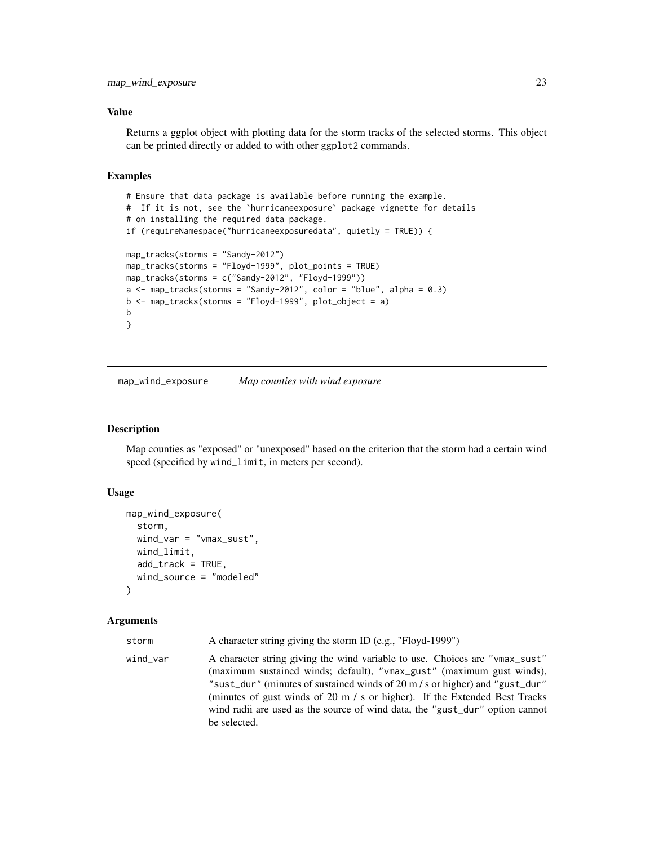#### <span id="page-22-0"></span>Value

Returns a ggplot object with plotting data for the storm tracks of the selected storms. This object can be printed directly or added to with other ggplot2 commands.

#### Examples

```
# Ensure that data package is available before running the example.
# If it is not, see the `hurricaneexposure` package vignette for details
# on installing the required data package.
if (requireNamespace("hurricaneexposuredata", quietly = TRUE)) {
map_tracks(storms = "Sandy-2012")
map_tracks(storms = "Floyd-1999", plot_points = TRUE)
map_tracks(storms = c("Sandy-2012", "Floyd-1999"))
a \le map_tracks(storms = "Sandy-2012", color = "blue", alpha = 0.3)
b \le map_tracks(storms = "Floyd-1999", plot_object = a)
b
}
```
map\_wind\_exposure *Map counties with wind exposure*

#### Description

Map counties as "exposed" or "unexposed" based on the criterion that the storm had a certain wind speed (specified by wind\_limit, in meters per second).

#### Usage

```
map_wind_exposure(
  storm,
 wind_var = "vmax_sust",
 wind_limit,
  add_track = TRUE,
  wind_source = "modeled"
)
```
#### Arguments

| storm    | A character string giving the storm ID (e.g., "Floyd-1999")                                                                                                                                                                                                                                                                                                                                                       |
|----------|-------------------------------------------------------------------------------------------------------------------------------------------------------------------------------------------------------------------------------------------------------------------------------------------------------------------------------------------------------------------------------------------------------------------|
| wind_var | A character string giving the wind variable to use. Choices are "vmax_sust"<br>(maximum sustained winds; default), "vmax_gust" (maximum gust winds),<br>"sust_dur" (minutes of sustained winds of 20 m /s or higher) and "gust_dur"<br>(minutes of gust winds of 20 m / s or higher). If the Extended Best Tracks<br>wind radii are used as the source of wind data, the "gust_dur" option cannot<br>be selected. |
|          |                                                                                                                                                                                                                                                                                                                                                                                                                   |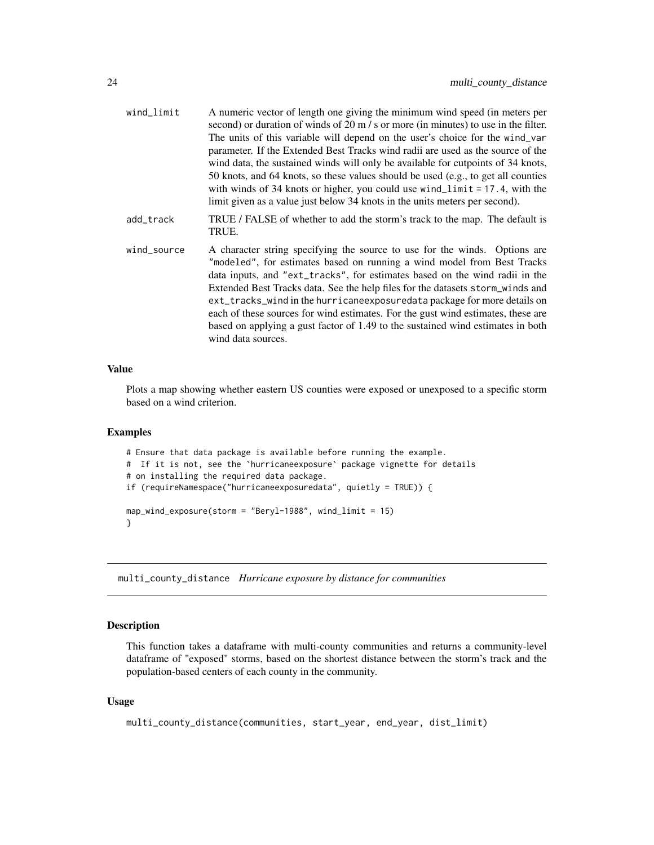<span id="page-23-0"></span>

| wind_limit  | A numeric vector of length one giving the minimum wind speed (in meters per<br>second) or duration of winds of 20 m / s or more (in minutes) to use in the filter.<br>The units of this variable will depend on the user's choice for the wind_var<br>parameter. If the Extended Best Tracks wind radii are used as the source of the<br>wind data, the sustained winds will only be available for cutpoints of 34 knots,<br>50 knots, and 64 knots, so these values should be used (e.g., to get all counties<br>with winds of 34 knots or higher, you could use $wind$ limit = 17.4, with the<br>limit given as a value just below 34 knots in the units meters per second). |
|-------------|--------------------------------------------------------------------------------------------------------------------------------------------------------------------------------------------------------------------------------------------------------------------------------------------------------------------------------------------------------------------------------------------------------------------------------------------------------------------------------------------------------------------------------------------------------------------------------------------------------------------------------------------------------------------------------|
| add_track   | TRUE / FALSE of whether to add the storm's track to the map. The default is<br>TRUE.                                                                                                                                                                                                                                                                                                                                                                                                                                                                                                                                                                                           |
| wind_source | A character string specifying the source to use for the winds. Options are<br>"modeled", for estimates based on running a wind model from Best Tracks<br>data inputs, and "ext_tracks", for estimates based on the wind radii in the<br>Extended Best Tracks data. See the help files for the datasets storm_winds and<br>ext_tracks_wind in the hurricaneexposuredata package for more details on<br>each of these sources for wind estimates. For the gust wind estimates, these are<br>based on applying a gust factor of 1.49 to the sustained wind estimates in both<br>wind data sources.                                                                                |

#### Value

Plots a map showing whether eastern US counties were exposed or unexposed to a specific storm based on a wind criterion.

#### Examples

```
# Ensure that data package is available before running the example.
# If it is not, see the `hurricaneexposure` package vignette for details
# on installing the required data package.
if (requireNamespace("hurricaneexposuredata", quietly = TRUE)) {
map_wind_exposure(storm = "Beryl-1988", wind_limit = 15)
}
```
multi\_county\_distance *Hurricane exposure by distance for communities*

#### Description

This function takes a dataframe with multi-county communities and returns a community-level dataframe of "exposed" storms, based on the shortest distance between the storm's track and the population-based centers of each county in the community.

```
multi_county_distance(communities, start_year, end_year, dist_limit)
```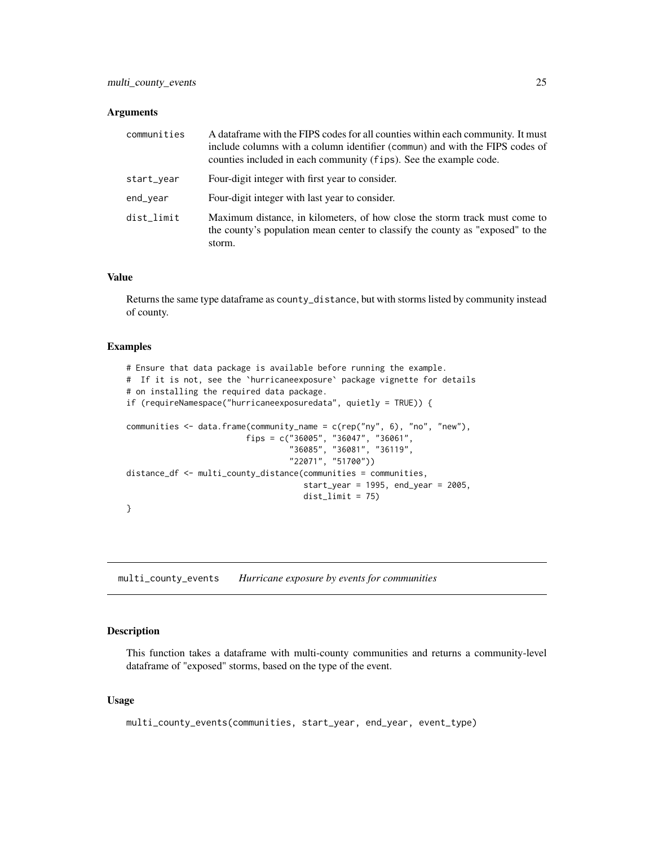<span id="page-24-0"></span>

| communities | A data frame with the FIPS codes for all counties within each community. It must<br>include columns with a column identifier (commun) and with the FIPS codes of<br>counties included in each community (fips). See the example code. |
|-------------|---------------------------------------------------------------------------------------------------------------------------------------------------------------------------------------------------------------------------------------|
| start_year  | Four-digit integer with first year to consider.                                                                                                                                                                                       |
| end_year    | Four-digit integer with last year to consider.                                                                                                                                                                                        |
| dist_limit  | Maximum distance, in kilometers, of how close the storm track must come to<br>the county's population mean center to classify the county as "exposed" to the<br>storm.                                                                |

#### Value

Returns the same type dataframe as county\_distance, but with storms listed by community instead of county.

#### Examples

```
# Ensure that data package is available before running the example.
# If it is not, see the `hurricaneexposure` package vignette for details
# on installing the required data package.
if (requireNamespace("hurricaneexposuredata", quietly = TRUE)) {
communities <- data.frame(community_name = c(rep("ny", 6), "no", "new"),
                         fips = c("36005", "36047", "36061",
                                  "36085", "36081", "36119",
                                  "22071", "51700"))
distance_df <- multi_county_distance(communities = communities,
                                     start_year = 1995, end_year = 2005,
                                     dist_limit = 75)
}
```
multi\_county\_events *Hurricane exposure by events for communities*

#### Description

This function takes a dataframe with multi-county communities and returns a community-level dataframe of "exposed" storms, based on the type of the event.

```
multi_county_events(communities, start_year, end_year, event_type)
```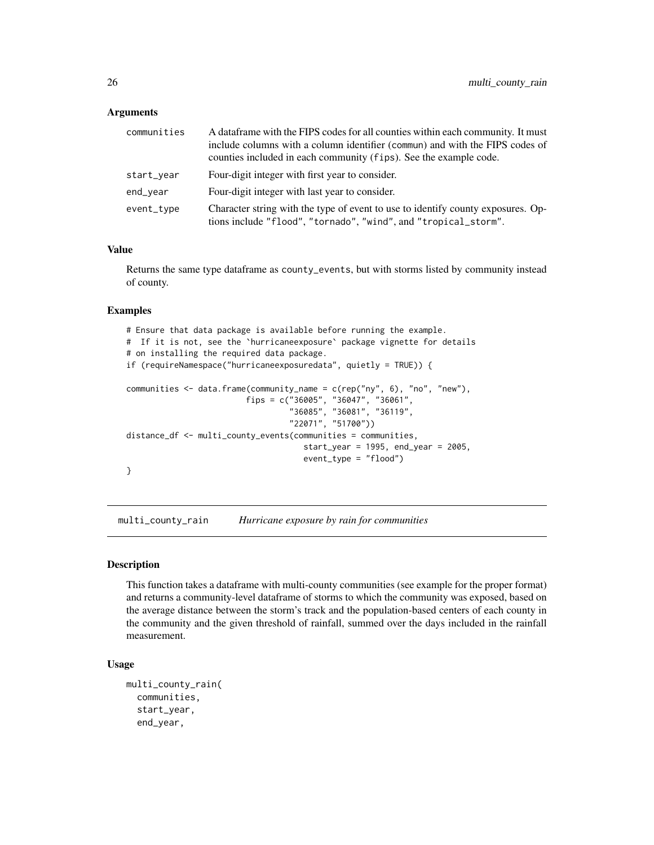<span id="page-25-0"></span>

| communities | A data frame with the FIPS codes for all counties within each community. It must<br>include columns with a column identifier (commun) and with the FIPS codes of<br>counties included in each community (fips). See the example code. |
|-------------|---------------------------------------------------------------------------------------------------------------------------------------------------------------------------------------------------------------------------------------|
| start_year  | Four-digit integer with first year to consider.                                                                                                                                                                                       |
| end_year    | Four-digit integer with last year to consider.                                                                                                                                                                                        |
| event_type  | Character string with the type of event to use to identify county exposures. Op-<br>tions include "flood", "tornado", "wind", and "tropical_storm".                                                                                   |

#### Value

Returns the same type dataframe as county\_events, but with storms listed by community instead of county.

#### Examples

```
# Ensure that data package is available before running the example.
# If it is not, see the `hurricaneexposure` package vignette for details
# on installing the required data package.
if (requireNamespace("hurricaneexposuredata", quietly = TRUE)) {
communities <- data.frame(community_name = c(rep("ny", 6), "no", "new"),
                         fips = c("36005", "36047", "36061",
                                  "36085", "36081", "36119",
                                  "22071", "51700"))
distance_df <- multi_county_events(communities = communities,
                                     start_year = 1995, end_year = 2005,
                                     event_type = "flood")
}
```
<span id="page-25-1"></span>multi\_county\_rain *Hurricane exposure by rain for communities*

#### Description

This function takes a dataframe with multi-county communities (see example for the proper format) and returns a community-level dataframe of storms to which the community was exposed, based on the average distance between the storm's track and the population-based centers of each county in the community and the given threshold of rainfall, summed over the days included in the rainfall measurement.

```
multi_county_rain(
  communities,
  start_year,
  end_year,
```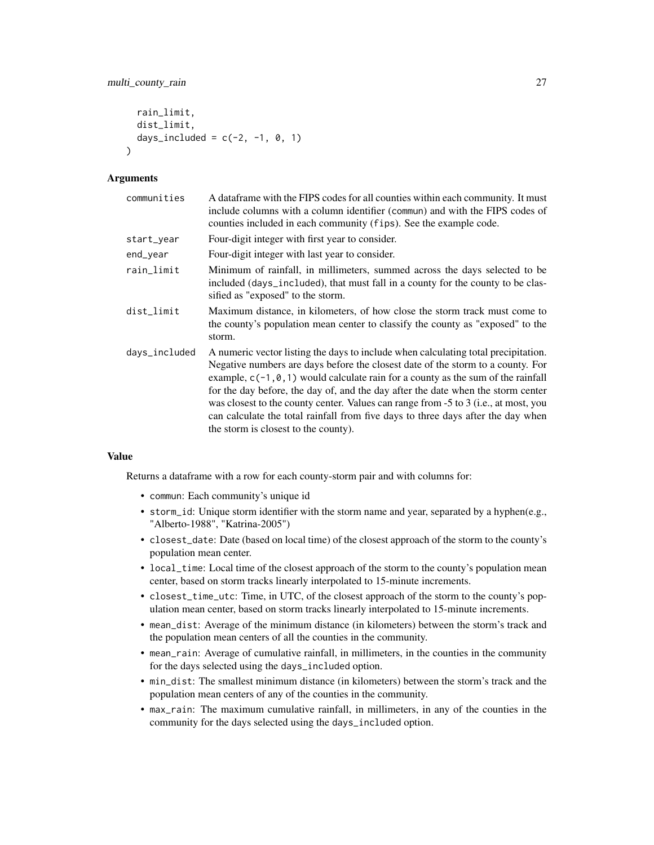```
rain_limit,
  dist_limit,
  days_included = c(-2, -1, 0, 1)\lambda
```

| communities   | A data frame with the FIPS codes for all counties within each community. It must<br>include columns with a column identifier (commun) and with the FIPS codes of<br>counties included in each community (fips). See the example code.                                                                                                                                                                                                                                                                                                                               |
|---------------|---------------------------------------------------------------------------------------------------------------------------------------------------------------------------------------------------------------------------------------------------------------------------------------------------------------------------------------------------------------------------------------------------------------------------------------------------------------------------------------------------------------------------------------------------------------------|
| start_year    | Four-digit integer with first year to consider.                                                                                                                                                                                                                                                                                                                                                                                                                                                                                                                     |
| end_year      | Four-digit integer with last year to consider.                                                                                                                                                                                                                                                                                                                                                                                                                                                                                                                      |
| rain_limit    | Minimum of rainfall, in millimeters, summed across the days selected to be<br>included (days_included), that must fall in a county for the county to be clas-<br>sified as "exposed" to the storm.                                                                                                                                                                                                                                                                                                                                                                  |
| dist_limit    | Maximum distance, in kilometers, of how close the storm track must come to<br>the county's population mean center to classify the county as "exposed" to the<br>storm.                                                                                                                                                                                                                                                                                                                                                                                              |
| days_included | A numeric vector listing the days to include when calculating total precipitation.<br>Negative numbers are days before the closest date of the storm to a county. For<br>example, $c(-1, 0, 1)$ would calculate rain for a county as the sum of the rainfall<br>for the day before, the day of, and the day after the date when the storm center<br>was closest to the county center. Values can range from -5 to 3 (i.e., at most, you<br>can calculate the total rainfall from five days to three days after the day when<br>the storm is closest to the county). |

#### Value

Returns a dataframe with a row for each county-storm pair and with columns for:

- commun: Each community's unique id
- storm\_id: Unique storm identifier with the storm name and year, separated by a hyphen(e.g., "Alberto-1988", "Katrina-2005")
- closest\_date: Date (based on local time) of the closest approach of the storm to the county's population mean center.
- local\_time: Local time of the closest approach of the storm to the county's population mean center, based on storm tracks linearly interpolated to 15-minute increments.
- closest\_time\_utc: Time, in UTC, of the closest approach of the storm to the county's population mean center, based on storm tracks linearly interpolated to 15-minute increments.
- mean\_dist: Average of the minimum distance (in kilometers) between the storm's track and the population mean centers of all the counties in the community.
- mean\_rain: Average of cumulative rainfall, in millimeters, in the counties in the community for the days selected using the days\_included option.
- min\_dist: The smallest minimum distance (in kilometers) between the storm's track and the population mean centers of any of the counties in the community.
- max\_rain: The maximum cumulative rainfall, in millimeters, in any of the counties in the community for the days selected using the days\_included option.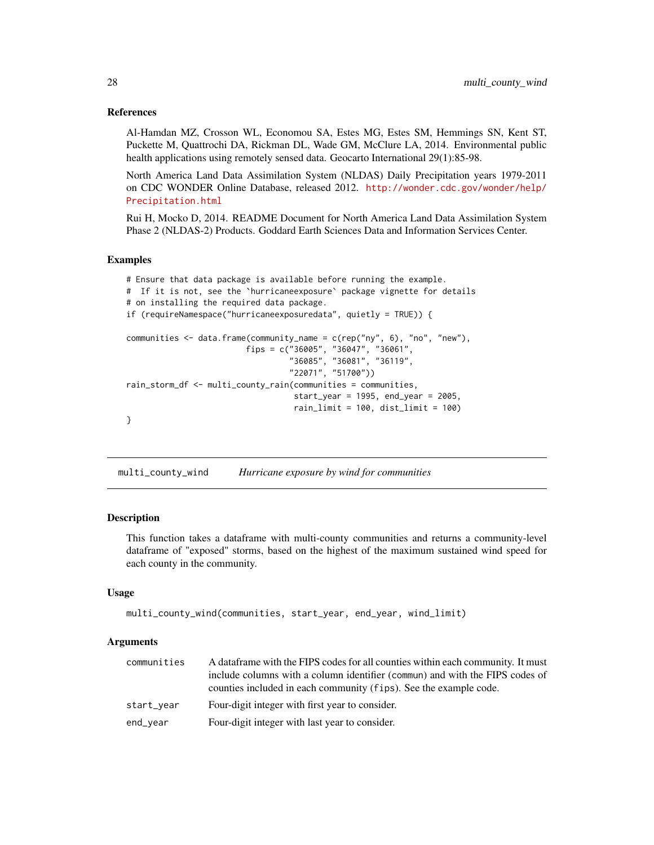#### <span id="page-27-0"></span>References

Al-Hamdan MZ, Crosson WL, Economou SA, Estes MG, Estes SM, Hemmings SN, Kent ST, Puckette M, Quattrochi DA, Rickman DL, Wade GM, McClure LA, 2014. Environmental public health applications using remotely sensed data. Geocarto International 29(1):85-98.

North America Land Data Assimilation System (NLDAS) Daily Precipitation years 1979-2011 on CDC WONDER Online Database, released 2012. [http://wonder.cdc.gov/wonder/help/](http://wonder.cdc.gov/wonder/help/Precipitation.html) [Precipitation.html](http://wonder.cdc.gov/wonder/help/Precipitation.html)

Rui H, Mocko D, 2014. README Document for North America Land Data Assimilation System Phase 2 (NLDAS-2) Products. Goddard Earth Sciences Data and Information Services Center.

#### Examples

```
# Ensure that data package is available before running the example.
# If it is not, see the `hurricaneexposure` package vignette for details
# on installing the required data package.
if (requireNamespace("hurricaneexposuredata", quietly = TRUE)) {
communities <- data.frame(community_name = c(rep("ny", 6), "no", "new"),
                         fips = c("36005", "36047", "36061",
                                  "36085", "36081", "36119",
                                  "22071", "51700"))
rain_storm_df <- multi_county_rain(communities = communities,
                                   start_year = 1995, end_year = 2005,
                                   rainlimit = 100, dist_limit = 100)
}
```
<span id="page-27-1"></span>multi\_county\_wind *Hurricane exposure by wind for communities*

#### Description

This function takes a dataframe with multi-county communities and returns a community-level dataframe of "exposed" storms, based on the highest of the maximum sustained wind speed for each county in the community.

#### Usage

```
multi_county_wind(communities, start_year, end_year, wind_limit)
```
#### Arguments

| communities | A data frame with the FIPS codes for all counties within each community. It must<br>include columns with a column identifier (commun) and with the FIPS codes of |
|-------------|------------------------------------------------------------------------------------------------------------------------------------------------------------------|
| start_year  | counties included in each community (fips). See the example code.<br>Four-digit integer with first year to consider.                                             |
| end_year    | Four-digit integer with last year to consider.                                                                                                                   |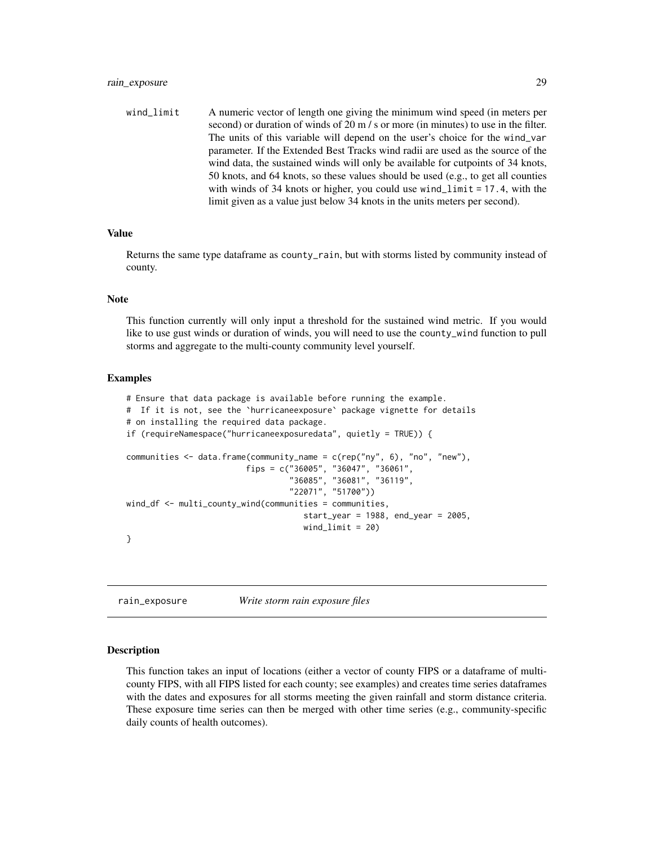<span id="page-28-0"></span>wind\_limit A numeric vector of length one giving the minimum wind speed (in meters per second) or duration of winds of 20 m / s or more (in minutes) to use in the filter. The units of this variable will depend on the user's choice for the wind\_var parameter. If the Extended Best Tracks wind radii are used as the source of the wind data, the sustained winds will only be available for cutpoints of 34 knots, 50 knots, and 64 knots, so these values should be used (e.g., to get all counties with winds of 34 knots or higher, you could use wind\_limit = 17.4, with the limit given as a value just below 34 knots in the units meters per second).

#### Value

Returns the same type dataframe as county\_rain, but with storms listed by community instead of county.

#### Note

This function currently will only input a threshold for the sustained wind metric. If you would like to use gust winds or duration of winds, you will need to use the county\_wind function to pull storms and aggregate to the multi-county community level yourself.

#### Examples

```
# Ensure that data package is available before running the example.
# If it is not, see the `hurricaneexposure` package vignette for details
# on installing the required data package.
if (requireNamespace("hurricaneexposuredata", quietly = TRUE)) {
communities <- data.frame(community_name = c(rep("ny", 6), "no", "new"),
                         fips = c("36005", "36047", "36061",
                                  "36085", "36081", "36119",
                                  "22071", "51700"))
wind_df <- multi_county_wind(communities = communities,
                                     start_year = 1988, end_year = 2005,
                                     windlimit = 20)
}
```
rain\_exposure *Write storm rain exposure files*

#### Description

This function takes an input of locations (either a vector of county FIPS or a dataframe of multicounty FIPS, with all FIPS listed for each county; see examples) and creates time series dataframes with the dates and exposures for all storms meeting the given rainfall and storm distance criteria. These exposure time series can then be merged with other time series (e.g., community-specific daily counts of health outcomes).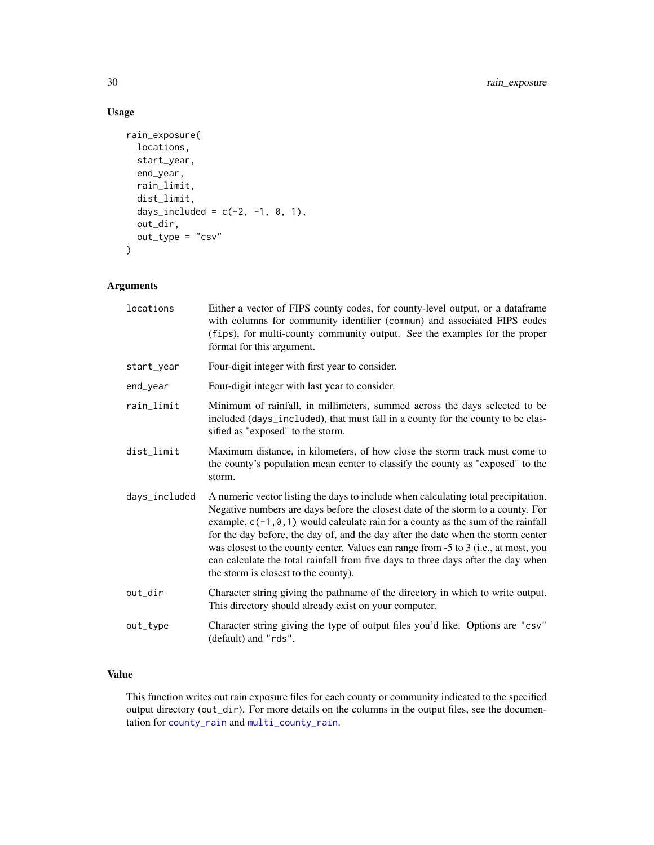#### Usage

```
rain_exposure(
  locations,
  start_year,
 end_year,
  rain_limit,
  dist_limit,
  days_included = c(-2, -1, 0, 1),
 out_dir,
 out_type = "csv"
)
```
#### Arguments

| locations     | Either a vector of FIPS county codes, for county-level output, or a dataframe<br>with columns for community identifier (commun) and associated FIPS codes<br>(fips), for multi-county community output. See the examples for the proper<br>format for this argument.                                                                                                                                                                                                                                                                                                |
|---------------|---------------------------------------------------------------------------------------------------------------------------------------------------------------------------------------------------------------------------------------------------------------------------------------------------------------------------------------------------------------------------------------------------------------------------------------------------------------------------------------------------------------------------------------------------------------------|
| start_year    | Four-digit integer with first year to consider.                                                                                                                                                                                                                                                                                                                                                                                                                                                                                                                     |
| end_year      | Four-digit integer with last year to consider.                                                                                                                                                                                                                                                                                                                                                                                                                                                                                                                      |
| rain_limit    | Minimum of rainfall, in millimeters, summed across the days selected to be<br>included (days_included), that must fall in a county for the county to be clas-<br>sified as "exposed" to the storm.                                                                                                                                                                                                                                                                                                                                                                  |
| dist_limit    | Maximum distance, in kilometers, of how close the storm track must come to<br>the county's population mean center to classify the county as "exposed" to the<br>storm.                                                                                                                                                                                                                                                                                                                                                                                              |
| days_included | A numeric vector listing the days to include when calculating total precipitation.<br>Negative numbers are days before the closest date of the storm to a county. For<br>example, $c(-1, 0, 1)$ would calculate rain for a county as the sum of the rainfall<br>for the day before, the day of, and the day after the date when the storm center<br>was closest to the county center. Values can range from -5 to 3 (i.e., at most, you<br>can calculate the total rainfall from five days to three days after the day when<br>the storm is closest to the county). |
| out_dir       | Character string giving the pathname of the directory in which to write output.<br>This directory should already exist on your computer.                                                                                                                                                                                                                                                                                                                                                                                                                            |
| out_type      | Character string giving the type of output files you'd like. Options are "csv"<br>(default) and "rds".                                                                                                                                                                                                                                                                                                                                                                                                                                                              |

#### Value

This function writes out rain exposure files for each county or community indicated to the specified output directory (out\_dir). For more details on the columns in the output files, see the documentation for [county\\_rain](#page-4-1) and [multi\\_county\\_rain](#page-25-1).

<span id="page-29-0"></span>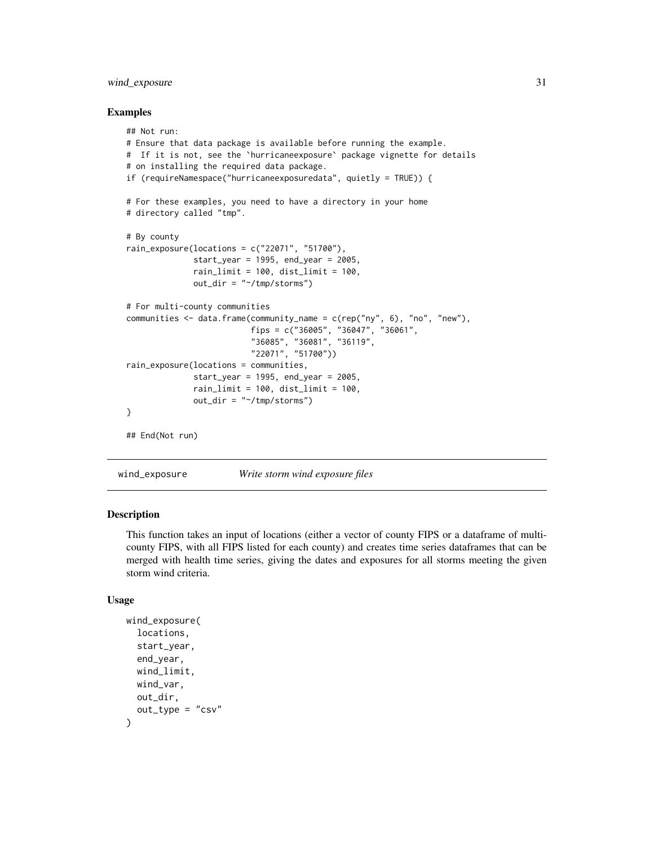#### <span id="page-30-0"></span>wind\_exposure 31

#### Examples

```
## Not run:
# Ensure that data package is available before running the example.
# If it is not, see the `hurricaneexposure` package vignette for details
# on installing the required data package.
if (requireNamespace("hurricaneexposuredata", quietly = TRUE)) {
# For these examples, you need to have a directory in your home
# directory called "tmp".
# By county
rain_exposure(locations = c("22071", "51700"),
              start_year = 1995, end_year = 2005,
              rain_limit = 100, dist_limit = 100,
              out\_dir = "~\div /tmp/storms")# For multi-county communities
communities <- data.frame(community_name = c(rep("ny", 6), "no", "new"),
                          fips = c("36005", "36047", "36061",
                          "36085", "36081", "36119",
                          "22071", "51700"))
rain_exposure(locations = communities,
              start_year = 1995, end_year = 2005,
              rainlimit = 100, dist_limit = 100,
              out_dir = "~/tmp/storms")
}
## End(Not run)
```
wind\_exposure *Write storm wind exposure files*

#### Description

This function takes an input of locations (either a vector of county FIPS or a dataframe of multicounty FIPS, with all FIPS listed for each county) and creates time series dataframes that can be merged with health time series, giving the dates and exposures for all storms meeting the given storm wind criteria.

```
wind_exposure(
  locations,
  start_year,
  end_year,
  wind_limit,
  wind_var,
  out_dir,
  out_type = "csv")
```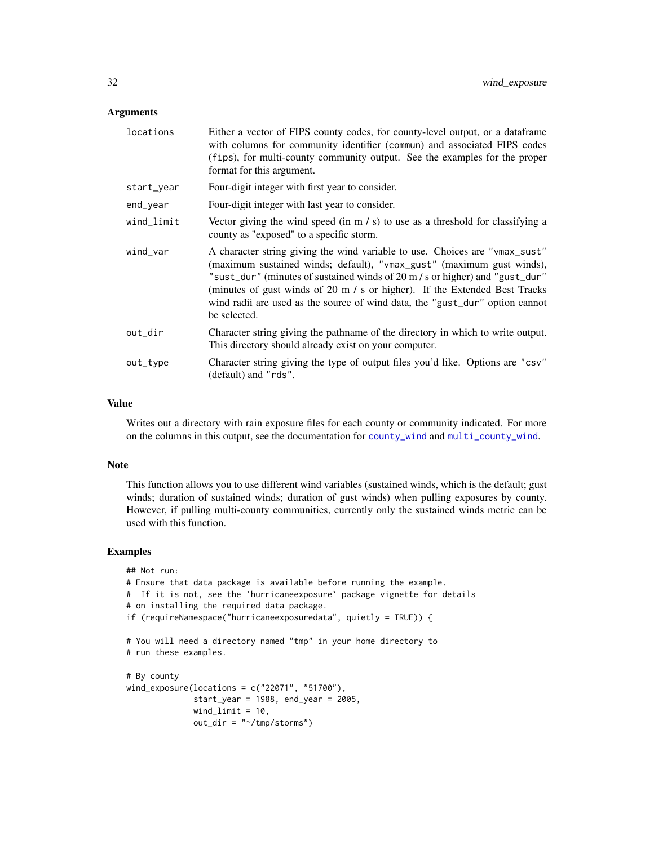<span id="page-31-0"></span>

| locations  | Either a vector of FIPS county codes, for county-level output, or a data frame<br>with columns for community identifier (commun) and associated FIPS codes<br>(fips), for multi-county community output. See the examples for the proper<br>format for this argument.                                                                                                                                              |
|------------|--------------------------------------------------------------------------------------------------------------------------------------------------------------------------------------------------------------------------------------------------------------------------------------------------------------------------------------------------------------------------------------------------------------------|
| start_year | Four-digit integer with first year to consider.                                                                                                                                                                                                                                                                                                                                                                    |
| end_year   | Four-digit integer with last year to consider.                                                                                                                                                                                                                                                                                                                                                                     |
| wind_limit | Vector giving the wind speed (in $m / s$ ) to use as a threshold for classifying a<br>county as "exposed" to a specific storm.                                                                                                                                                                                                                                                                                     |
| wind_var   | A character string giving the wind variable to use. Choices are "vmax_sust"<br>(maximum sustained winds; default), "vmax_gust" (maximum gust winds),<br>"sust_dur" (minutes of sustained winds of 20 m / s or higher) and "gust_dur"<br>(minutes of gust winds of 20 m / s or higher). If the Extended Best Tracks<br>wind radii are used as the source of wind data, the "gust_dur" option cannot<br>be selected. |
| out_dir    | Character string giving the pathname of the directory in which to write output.<br>This directory should already exist on your computer.                                                                                                                                                                                                                                                                           |
| out_type   | Character string giving the type of output files you'd like. Options are "csv"<br>(default) and "rds".                                                                                                                                                                                                                                                                                                             |

#### Value

Writes out a directory with rain exposure files for each county or community indicated. For more on the columns in this output, see the documentation for [county\\_wind](#page-6-1) and [multi\\_county\\_wind](#page-27-1).

#### Note

This function allows you to use different wind variables (sustained winds, which is the default; gust winds; duration of sustained winds; duration of gust winds) when pulling exposures by county. However, if pulling multi-county communities, currently only the sustained winds metric can be used with this function.

```
## Not run:
# Ensure that data package is available before running the example.
# If it is not, see the `hurricaneexposure` package vignette for details
# on installing the required data package.
if (requireNamespace("hurricaneexposuredata", quietly = TRUE)) {
# You will need a directory named "tmp" in your home directory to
# run these examples.
# By county
wind_exposure(locations = c("22071", "51700"),
              start_year = 1988, end_year = 2005,
              wind_limit = 10,
              out_dir = "~/tmp/storms")
```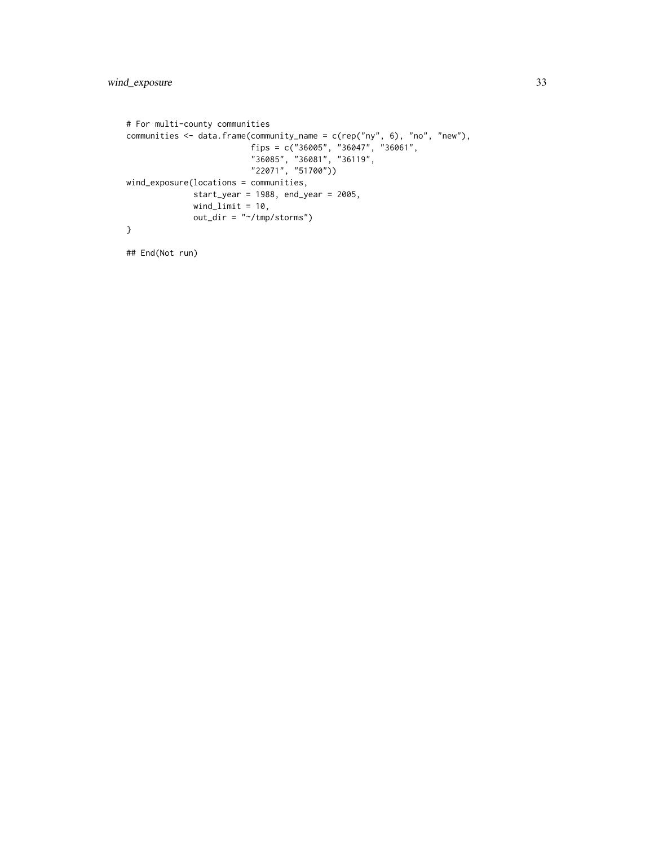```
# For multi-county communities
communities <- data.frame(community_name = c(rep("ny", 6), "no", "new"),
                          fips = c("36005", "36047", "36061",
                          "36085", "36081", "36119",
                          "22071", "51700"))
wind_exposure(locations = communities,
              start_year = 1988, end_year = 2005,
              windlimit = 10,
              out_dir = "~/tmp/storms")
}
```
## End(Not run)